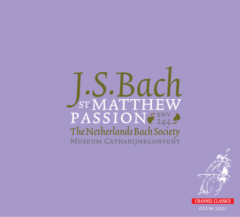# J.S.Bach PASSION  $\mathcal{F}_{244}^{\text{BW}}$ <br>The Netherlands Bach Society MUSEUM CATHARIJNECONVENT

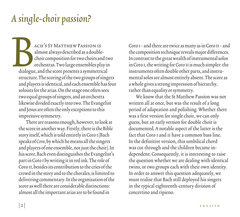## A single-choir passion?

ACH'S ST MATTHEW PASSION IS<br>almost always described as a doubled<br>choir composition for two choirs are<br>orchestras. Two large ensembles pl<br>dialogue, and the score presents a symmetr<br>structure. The scoring of the two groups o almost always described as a doublechoir composition for two choirs and two orchestras. Two large ensembles play in dialogue, and the score presents a symmetrical structure. The scoring of the two groups of singers and players is identical, and each ensemble has four soloists for the arias. On the stage one often sees two equal groups of singers, and an orchestra likewise divided exactly into two. The Evangelist and Jesus are often the only exceptions to this impressive symmetry.

There are reasons enough, however, to look at the score in another way. Firstly, there is the Bible story itself, which is told entirely in Coro I (Bach speaks of Coro, by which he means all the singers and players of one ensemble, not just the choir). In his score, Bach even distinguishes the Evangelist's part in Coro iby writing it in red ink. The role of Coro ii, besides its contribution to the cries of the crowd in the story and to the chorales, is limited to delivering commentary. In the organisation of the score as well there are considerable distinctions: almost all the important arias are to be found in

Coro i– and there are twice as many as in Coro ii– and the composition technique reveals major differences. In contrast to the great wealth of instrumental solos in Coro I, the writing for Coro II is much simpler: the instruments often double other parts, and instrumental solos are almost entirely absent. The score as a whole gives a strong impression of hierarchy, rather than equality or symmetry.

We know that the St Matthew Passion was not written all at once, but was the result of a long period of adaptation and polishing. Whether there was a first version for single choir, we can only guess, but an early version for double choir is documented. A notable aspect of the latter is the fact that Coro iand ii have a common bass line. In the definitive version, this umbilical chord was cut through and the children became independent. Consequently, it is interesting to raise the question whether we are dealing with identical twins, or two groups each with their own identity. In order to answer this question adequately, we must realise that Bach still deployed his singers in the typical eighteenth-century division of concertino and ripieno.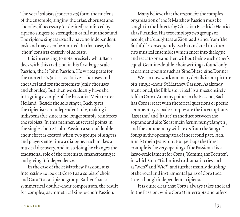The vocal soloists (concertists) form the nucleus of the ensemble, singing the arias, choruses and chorales, if necessary (or desired) reinforced by ripieno singers to strengthen or fill out the sound. The ripieno singers usually have no independent task and may even be omitted. In that case, the 'choir' consists entirely of soloists.

It is interesting to note precisely what Bach does with this tradition in his first large-scale Passion, the St John Passion. He writes parts for the concertists (arias, recitatives, choruses and chorales) and for the ripienists (only choruses and chorales). But then we suddenly have the intriguing example of the bass aria 'Mein teurer Heiland'. Beside the solo singer, Bach gives the ripienists an independent role, making it indispensable since it no longer simply reinforces the soloists. In this manner, at several points in the single-choir St John Passion a sort of doublechoir effect is created when two groups of singers and players enter into a dialogue. Bach makes a musical discovery, and in so doing he changes the traditional role of the ripienists, emancipating it and giving it independence.

In the case of the St Matthew Passion, it is interesting to look at Coro I as a soloists' choir and Coro II as a ripieno group. Rather than a symmetrical double-choir composition, the result is a complex, asymmetrical single-choir Passion.

Many believe that the reason for the complex organisation of the St Matthew Passion must be sought in the libretto by Christian Friedrich Henrici, alias Picander. His text employs two groups of people, the 'daughters of Zion' as distinct from 'the faithful'. Consequently, Bach translated this into two musical ensembles which enter into dialogue and react to one another, without being each other's equal. Genuine double-choir writing is found only at dramatic points such as 'Sind Blitze, sind Donner'.

We can now work out many details in our picture of a 'single-choir' St Matthew Passion. As already mentioned, the Bible story itself is almost entirely told in Coro i. At many points in the Passion, Bach has Coro II react with rhetorical questions or poetic commentary. Good examples are the interruptions 'Lasst ihn' and 'haltet' in the duet between the soprano and alto 'So ist mein Jesum nun gefangen', and the commentary with texts from the Song of Songs in the opening aria of the second part, 'Ach, nun ist mein Jesus hin'. But perhaps the finest example is the very opening of the Passion. It is a large-scale lament for Coro i, 'Kommt, ihr Töchter', in which Coro II is limited to dramatic cries such as 'Wen?' and 'Wie?', and further mainly doubling of the vocal and instrumental parts of Coro ias a true – though independent – ripieno.

It is quite clear that Coro I always takes the lead in the Passion, while Coro II interrupts and offers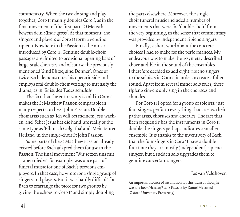commentary. When the two do sing and play together, Coro ii mainly doubles Coro I, as in the final movement of the first part, 'O Mensch, bewein dein Sünde gross'. At that moment, the singers and players of Coro ii form a genuine ripieno. Nowhere in the Passion is the music introduced by Coro ii. Genuine double-choir passages are limited to occasional opening bars of large-scale choruses and of course the previously mentioned 'Sind Blitze, sind Donner'. Once or twice Bach demonstrates his operatic side and employs real double-choir writing to intensify the drama, as in 'Er ist des Todes schuldig'.

The fact that the entire story is told in Coro i makes the St Matthew Passion comparable in many respects to the St John Passion. Doublechoir arias such as 'Ich will bei meinem Jesu wachen' and 'Sehet Jesus hat die hand' are really of the same type as 'Eilt nach Golgatha' and 'Mein teurer Heiland' in the single-choir St John Passion.

Some parts of the St Matthew Passion already existed before Bach adapted them for use in the Passion. The final movement 'Wir setzen uns mit Tränen nieder', for example, was once part of funeral music for one of Bach's previous employers. In that case, he wrote for a single group of singers and players. But it was hardly difficult for Bach to rearrange the piece for two groups by giving the echoes to Coro II and simply doubling

the parts elsewhere. Moreover, the singlechoir funeral music included a number of movements that were for 'double choir' from the very beginning, in the sense that commentary was provided by independent ripieno singers.

Finally, a short word about the concrete choices I had to make for the performances. My endeavour was to make the assymetry described above audible in the sound of the ensembles. I therefore decided to add eight ripieno singers to the soloists in Coro i, in order to create a fuller sound. Apart from several minor solo roles, these ripieno singers only sing in the choruses and chorales.

For Coro ii I opted for a group of soloists: just four singers perform everything that crosses their paths: arias, choruses and chorales. The fact that Bach frequently has the instruments in Coro ii double the singers perhaps indicates a smaller ensemble. It is thanks to the inventivity of Bach that the four singers in Coro ii have a double function: they are mostly (independent) ripieno singers, but a sudden solo upgrades them to genuine concertato singers.

#### Jos van Veldhoven

An important source of inspiration for this train of thought was the book Hearing Bach's Passions by Daniel Melamed (Oxford University Press 2005)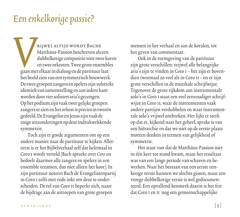## Een enkelkorige passie?

RIJWEL ALTIJD WORDT BACHS<br>
Matthäus-Passion beschreven als<br>
dubbelkorige compositie voor tw<br>
en twee orkesten. Twee grote ense<br>
gaan met elkaar in dialoog en de partituur<br>
het beeld zien van een symmetrisch bouw Matthäus-Passion beschreven als een dubbelkorige compositie voor twee koren en twee orkesten. Twee grote ensembles gaan met elkaar in dialoog en de partituur laat het beeld zien van een symmetrisch bouwwerk. De twee groepen zangers en spelers zijn volstrekt identiek van samenstelling en aan iedere kant worden door vier solisten aria's gezongen. Op het podium zijn vaak twee gelijke groepen zangers te zien en het orkest is precies in tweeën gedeeld. De Evangelist en Jezus zijn vaak de enige uitzonderingen op deze indrukwekkende symmetrie.

Toch zijn er goede argumenten om op een andere manier naar de partituur te kijken. Allereerst is er het Bijbelverhaal zelf dat helemaal in Coro I wordt verteld (Bach spreekt over Coro en bedoelt daarmee alle zangers en spelers in een ensemble tezamen, dus niet alleen het koor). In zijn partituur noteert Bach de Evangelistenpartij in Coro izelfs met rode inkt om deze te onderscheiden. De rol van Coro ii beperkt zich, naast de bijdrage aan de uitroepen van grote groepen

mensen in het verhaal en aan de koralen, tot het geven van commentaar.

Ook in de vormgeving van de partituur zijn grote verschillen: vrijwel alle belangrijke aria's zijn te vinden in Coro i – het zijn er bovendien tweemaal zo veel als in Coro ii – en er zijn grote verschillen in de muzikale schrijfwijze. Tegenover de grote rijkdom aan instrumentale solo's in Coro i staat een veel eenvoudiger schrijfwijze in Coro ii, waar de instrumenten vaak andere partijen verdubbelen en waar instrumentale solo's vrijwel ontbreken. Het lijkt er sterk op dat er, kijkend naar het geheel, sprake is van een hiërarchie en dat we niet op de eerste plaats moeten denken in termen van gelijkheid of symmetrie.

Het staat vast dat de Matthäus-Passion niet in één keer tot stand kwam, maar het resultaat was van een lange periode van schaven en bewerken. Naar het bestaan van een eerste eenkorige versie kunnen we slechts gissen, maar een vroege dubbelkorige versie is wel gedocumenteerd. Een opvallend kenmerk daarin is het feit dat Coro I en II nog een gemeenschappelijke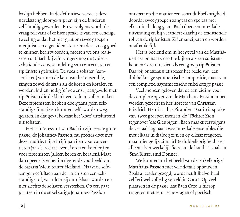baslijn hebben. In de definitieve versie is deze navelstreng doorgeknipt en zijn de kinderen zelfstandig geworden. En vervolgens wordt de vraag relevant of er hier sprake is van een eeneiige tweeling of dat het hier gaat om twee groepen met juist een eigen identiteit. Om deze vraag goed te kunnen beantwoorden, moeten we ons realiseren dat Bach bij zijn zangers nog de typisch achttiende-eeuwse indeling van concertisten en ripiënisten gebruikt. De vocale solisten (concertisten) vormen de kern van het ensemble, zingen zowel de aria's als de koren en koralen en worden, indien nodig (of gewenst), aangevuld met ripiënisten die de klank versterken, voller maken. Deze ripiënisten hebben doorgaans geen zelfstandige functie en kunnen zelfs worden weggelaten. In dat geval bestaat het 'koor' uitsluitend uit solisten.

Het is interessant wat Bach in zijn eerste grote passie, de Johannes-Passion, nu precies doet met deze traditie. Hij schrijft partijen voor concertisten (aria's, recitatieven, koren en koralen) en voor ripiënisten (alleen koren en koralen). Maar dan opeens is er het intrigerende voorbeeld van de basaria 'Mein teurer Heiland'. Naast de solozanger geeft Bach aan de ripiënisten een zelfstandige rol, waardoor zij onmisbaar worden en niet slechts de solisten versterken. Op een paar plaatsen in de enkelkorige Johannes-Passion

ontstaat op die manier een soort dubbelkorigheid, doordat twee groepen zangers en spelers met elkaar in dialoog gaan. Bach doet een muzikale uitvinding en hij verandert daarbij de traditionele rol van de ripiënisten. Zij emanciperen en worden onafhankelijk.

Het is boeiend om in het geval van de Matthäus-Passion naar Coro i te kijken als een solistenkoor en Coro ii te zien als een groep ripiënisten. Daarbij ontstaat niet zozeer het beeld van een dubbelkorige symmetrische compositie, maar van een complexe, asymmetrische enkelkorige passie.

Veel mensen geloven dat de aanleiding voor de complexe opzet van de Matthäus-Passion moet worden gezocht in het libretto van Christian Friedrich Henrici, alias Picander. Daarin is sprake van twee groepen mensen, de 'Töchter Zion' tegenover 'die Gläubigen'. Bach maakt vervolgens de vertaalslag naar twee muzikale ensembles die met elkaar in dialoog zijn en op elkaar reageren, maar niet gelijk zijn. Échte dubbelkorigheid is er alleen als er werkelijk 'iets aan de hand is', zoals in 'Sind Blitze, sind Donner'.

We kunnen nu het beeld van de 'enkelkorige' Matthäus-Passion met vele details opbouwen. Zoals al eerder gezegd, wordt het Bijbelverhaal zelf vrijwel volledig verteld in Coro i. Op veel plaatsen in de passie laat Bach Coro ii hierop reageren met retorische vragen of poëtisch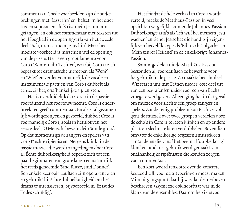commentaar. Goede voorbeelden zijn de onderbrekingen met 'Lasst ihn' en 'haltet' in het duet tussen sopraan en alt 'So ist mein Jesum nun gefangen' en ook het commentaar met teksten uit het Hooglied in de openingsaria van het tweede deel, 'Ach, nun ist mein Jesus hin'. Maar het mooiste voorbeeld is misschien wel de opening van de passie. Het is een groot lamento voor Coro I 'Kommt, ihr Töchter', waarbij Coro II zich beperkt tot dramatische uitroepen als 'Wen?' en 'Wie?' en verder voornamelijk de vocale en instrumentale partijen van Coro i dubbelt als echte, zij het, onafhankelijke ripiënisten.

Het is overduidelijk dat Coro I in de passie voortdurend het voortouw neemt. Coro ii onderbreekt en geeft commentaar. En als er al gezamenlijk wordt gezongen en gespeeld, dubbelt Coro ii voornamelijk Coro i, zoals in het slot van het eerste deel, 'O Mensch, bewein dein Sünde gross'. Op dat moment zijn de zangers en spelers van Coro II echte ripiënisten. Nergens klinkt in de passie muziek die wordt aangedragen door Coro ii. Échte dubbelkorigheid beperkt zich tot een paar beginmaten van grote koren en natuurlijk het reeds genoemde 'Sind Blitze, sind Donner'. Een enkele keer ook laat Bach zijn operakant zien en gebruikt hij échte dubbelkorigheid om het drama te intensiveren, bijvoorbeeld in 'Er ist des Todes schuldig'.

Het feit dat de hele verhaal in Coro i wordt verteld, maakt de Matthäus-Passion in veel opzichten vergelijkbaar met de Johannes-Passion. Dubbelkorige aria's als 'Ich will bei meinem Jesu wachen' en 'Sehet Jesus hat die hand' zijn eigenlijk van hetzelfde type als 'Eilt nach Golgatha' en 'Mein teurer Heiland' in de enkelkorige Johannes-Passion.

Sommige delen uit de Matthäus-Passion bestonden al, voordat Bach ze bewerkte voor hergebruik in de passie. Zo maakte het slotdeel 'Wir setzen uns mit Tränen nieder' ooit deel uit van een begrafenismuziek voor een van Bachs vroegere werkgevers. Alleen ging het in dat geval om muziek voor slechts één groep zangers en spelers. Zonder enig probleem kon Bach vervolgens de muziek over twee groepen verdelen door de echo's in Coro ii te laten klinken en op andere plaatsen slechts te laten verdubbelen. Bovendien omvatte de enkelkorige begrafenismuziek een aantal delen die vanaf het begin al 'dubbelkorig' klonken omdat er gebruik werd gemaakt van onafhankelijke ripiënisten die konden zorgen voor commentaar.

Een kort woord tenslotte over de concrete keuzes die ik voor de uitvoeringen moest maken. Mijn uitgangspunt daarbij was dat de hierboven beschreven assymetrie ook hoorbaar was in de klank van de ensembles. Daarom heb ik ervoor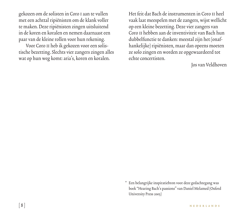gekozen om de solisten in Coro iaan te vullen met een achttal ripiënisten om de klank voller te maken. Deze ripiënisten zingen uitsluitend in de koren en koralen en nemen daarnaast een paar van de kleine rollen voor hun rekening.

Voor Coro ii heb ik gekozen voor een solistische bezetting. Slechts vier zangers zingen alles wat op hun weg komt: aria's, koren en koralen.

Het feit dat Bach de instrumenten in Coro ii heel vaak laat meespelen met de zangers, wijst wellicht op een kleine bezetting. Deze vier zangers van Coro ii hebben aan de inventiviteit van Bach hun dubbelfunctie te danken: meestal zijn het (onafhankelijke) ripiënisten, maar dan opeens moeten ze solo zingen en worden ze opgewaardeerd tot echte concertisten.

Jos van Veldhoven

\* Een belangrijke inspiratiebron voor deze gedachtegang was boek "Hearing Bach's passions" van Daniel Melamed (Oxford University Press 2005)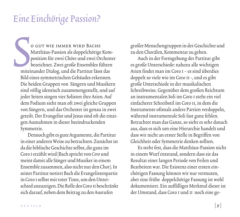## Eine Einchörige Passion?

Suite<br>Bild of o gut wie immer wird Bachs Matthäus-Passion als doppelchörige Komposition für zwei Chöre und zwei Orchester bezeichnet. Zwei große Ensembles führen miteinander Dialog, und die Partitur lässt das Bild eines symmetrischen Gebäudes erkennen. Die beiden Gruppen von Sängern und Musikern sind völlig identisch zusammengestellt, und auf jeder Seiten singen vier Solisten ihre Arien. Auf dem Podium sieht man oft zwei gleiche Gruppen von Sängern, und das Orchester ist genau in zwei geteilt. Der Evangelist und Jesus sind oft die einzigen Ausnahmen in dieser beeindruckenden Symmetrie.

Dennoch gibt es gute Argumente, die Partitur in einer anderen Weise zu betrachten. Zunächst ist da die biblische Geschichte selbst, die ganz im Coro ierzählt wird (Bach spricht von Coro und meint damit alle Sänger und Musiker in einem Ensemble zusammen, also nicht nur den Chor). In seiner Partitur notiert Bach die Evangelistenpartie in Coro iselbst mit roter Tinte, um den Unterschied anzuzeigen. Die Rolle des Coro ii beschränkt sich darauf, neben dem Beitrag zu den Ausrufen

großer Menschengruppen in der Geschichte und zu den Chorälen, Kommentar zu geben.

Auch in der Formgebung der Partitur gibt es große Unterschiede: nahezu alle wichtigen Arien findet man im Coro i – es sind überdies doppelt so viele wie im Coro ii -, und es gibt große Unterschiede in der musikalischen Schreibweise. Gegenüber dem großen Reichtum an instrumentalen Soli im Coro i steht ein viel einfacherer Schreibstil im Coro ii, in dem die Instrumente oftmals andere Partien verdoppeln, während instrumentale Soli fast ganz fehlen. Betrachtet man das Ganze, so sieht es sehr danach aus, dass es sich um eine Hierarchie handelt und dass wir nicht an erster Stelle in Begriffen von Gleichheit oder Symmetrie denken sollten.

Es steht fest, dass die Matthäus-Passion nicht in einem Wurf entstand, sondern dass sie das Resultat einer langen Periode von Feilen und Bearbeiten war. Die Existenz einer ersten einchörigen Fassung können wir nur vermuten, aber eine frühe doppelchörige Fassung ist wohl dokumentiert. Ein auffälliges Merkmal dieser ist der Umstand, dass Coro i und ii noch eine ge-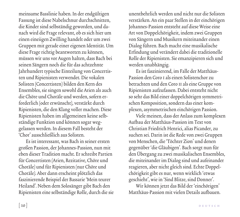meinsame Basslinie haben. In der endgültigen Fassung ist diese Nabelschnur durchschnitten, die Kinder sind selbständig geworden, und danach wird die Frage relevant, ob es sich hier um einen eineiigen Zwilling handelt oder um zwei Gruppen mit gerade einer eigenen Identität. Um diese Frage richtig beantworten zu können, müssen wir uns vor Augen halten, dass Bach bei seinen Sängern noch die für das achtzehnte Jahrhundert typische Einteilung von Concertisten und Ripienisten verwendet. Die vokalen Solisten (Concertisten) bilden den Kern des Ensembles, sie singen sowohl die Arien als auch die Chöre und Choräle und werden, sofern erforderlich (oder erwünscht), verstärkt durch Ripienisten, die den Klang voller machen. Diese Ripienisten haben im allgemeinen keine selbständige Funktion und können sogar weggelassen werden. In diesem Fall besteht der 'Chor' ausschließlich aus Solisten.

Es ist interessant, was Bach in seiner ersten großen Passion, der Johannes-Passion, nun mit eben dieser Tradition macht. Er schreibt Partien für Concertisten (Arien, Rezitative, Chöre und Choräle) und für Ripienisten (nur Chöre und Choräle). Aber dann erscheint plötzlich das faszinierende Beispiel der Bassarie 'Mein teurer Heiland'. Neben dem Solosänger gibt Bach den Ripienisten eine selbständige Rolle, durch die sie

unentbehrlich werden und nicht nur die Solisten verstärken. An ein paar Stellen in der einchörigen Johannes-Passion entsteht auf diese Weise eine Art von Doppelchörigkeit, indem zwei Gruppen von Sängern und Musikern miteinander einen Dialog führen. Bach macht eine musikalische Erfindung und verändert dabei die traditionelle Rolle der Ripienisten. Sie emanzipieren sich und werden unabhängig.

Es ist faszinierend, im Falle der Matthäus-Passion den Coro ials einen Solistenchor zu betrachten und den Coro II als eine Gruppe von Ripienisten aufzufassen. Dabei entsteht nicht so sehr das Bild einer doppelchörigen symmetrischen Komposition, sondern das einer komplexen, asymmetrischen einchörigen Passion.

Viele meinen, dass der Anlass zum komplexen Aufbau der Matthäus-Passion im Text von Christian Friedrich Henrici, alias Picander, zu suchen sei. Darin ist die Rede von zwei Gruppen von Menschen, die 'Töchter Zion' und denen gegenüber 'die Gläubigen'. Bach sorgt nun für den Übergang zu zwei musikalischen Ensembles, die miteinander im Dialog sind und aufeinander reagieren, aber nicht gleich sind. Echte Doppelchörigkeit gibt es nur, wenn wirklich 'etwas geschieht', wie in 'Sind Blitze, sind Donner'.

Wir können jetzt das Bild der 'einchörigen' Matthäus-Passion mit vielen Details aufbauen.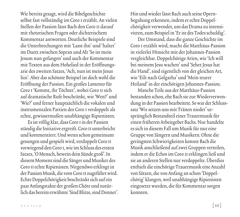Wie bereits gesagt, wird die Bibelgeschichte selbst fast vollständig im Coro I erzählt. An vielen Stellen der Passion lässt Bach den Coro ii darauf mit rhetorischen Fragen oder dichterischem Kommentar antworten. Deutliche Beispiele sind die Unterbrechungen mit 'Lasst ihn' und 'haltet' im Duett zwischen Sopran und Alt 'So ist mein Jesum nun gefangen' und auch der Kommentar mit Texten aus dem Hohelied in der Eröffnungsarie des zweiten Satzes, 'Ach, nun ist mein Jesus hin'. Aber das schönste Beispiel ist doch wohl die Eröffnung der Passion. Ein großes Lamento für Coro i 'Kommt, ihr Töchter', wobei Coro ii sich auf dramatische Rufe beschränkt, wie 'Wen?' und 'Wie?' und ferner hauptsächlich die vokalen und instrumentalen Partien des Coro I verdoppelt als echte, gewissermaßen unabhängige Ripienisten.

Es ist völlig klar, dass Coro iin der Passion ständig die Initiative ergreift. Coro ii unterbricht und kommentiert. Und wenn schon gemeinsam gesungen und gespielt wird, verdoppelt Coro ii vorwiegend den Coro i, wie im Schluss des ersten Satzes, 'O Mensch, bewein dein Sünde groß'. In diesem Moment sind die Sänger und Musiker des Coro II echte Ripienisten. Nirgendwo erklingt in der Passion Musik, die vom Coro II zugeführt wird. Echte Doppelchörigkeit beschränkt sich auf ein paar Anfangstakte der großen Chöre und natürlich das bereits erwähnte 'Sind Blitze, sind Donner'. Hin und wieder lässt Bach auch seine Opernbegabung erkennen, indem er echte Doppelchörigkeit verwendet, um das Drama zu intensivieren, zum Beispiel in 'Er ist des Todes schuldig'.

Der Umstand, dass die ganze Geschichte im Coro ierzählt wird, macht die Matthäus-Passion in vielerlei Hinsicht mit der Johannes-Passion vergleichbar. Doppelchörige Arien, wie 'Ich will bei meinem Jesu wachen' und 'Sehet Jesus hat die Hand', sind eigentlich von der gleichen Art, wie 'Eilt nach Golgatha' und 'Mein teurer Heiland' in der einchörigen Johannes-Passion.

Manche Teile aus der Matthäus-Passion bestanden schon, ehe Bach sie zur Wiederverwendung in der Passion bearbeitete. So war der Schlusssatz 'Wir setzen uns mit Tränen nieder' ursprünglich Bestandteil einer Trauermusik für einen früheren Arbeitgeber Bachs. Nur handelte es sich in diesem Fall um Musik für nur eine Gruppe von Sängern und Musikern. Ohne die geringsten Schwierigkeiten konnte Bach die Musik anschließend auf zwei Gruppen verteilen, indem er die Echos im Coro II erklingen ließ und sie an anderen Stellen nur verdoppelte. Überdies enthielt die einchörige Trauermusik eine Anzahl von Sätzen, die von Anfang an schon 'Doppelchörig' klangen, weil unabhängige Ripienisten eingesetzt wurden, die für Kommentar sorgen konnten.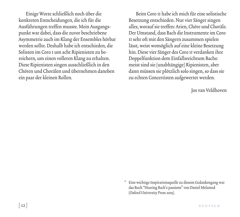Einige Worte schließlich noch über die konkreten Entscheidungen, die ich für die Ausführungen treffen musste. Mein Ausgangspunkt war dabei, dass die zuvor beschriebene Asymmetrie auch im Klang der Ensembles hörbar werden sollte. Deshalb habe ich entschieden, die Solisten im Coro i um acht Ripienisten zu bereichern, um einen volleren Klang zu erhalten. Diese Ripienisten singen ausschließlich in den Chören und Chorälen und übernehmen daneben ein paar der kleinen Rollen.

Beim Coro ii habe ich mich für eine solistische Besetzung entschieden. Nur vier Sänger singen alles, worauf sie treffen: Arien, Chöre und Choräle. Der Umstand, dass Bach die Instrumente im Coro ii sehr oft mit den Sängern zusammen spielen lässt, weist womöglich auf eine kleine Besetzung hin. Diese vier Sänger des Coro II verdanken ihre Doppelfunktion dem Einfallsreichtum Bachs: meist sind sie (unabhängige) Ripienisten, aber dann müssen sie plötzlich solo singen, so dass sie zu echten Concertisten aufgewertet werden.

Jos van Veldhoven

\* Eine wichtige Inspirationsquelle zu diesem Gedankengang war das Buch "Hearing Bach's passions" von Daniel Melamed (Oxford University Press 2005).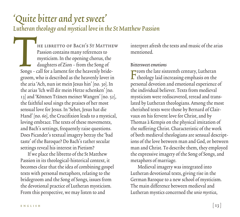## 'Quite bitter and yet sweet' Lutheran theology and mystical love in the St Matthew Passion

THE LIBRETTO OF BACH'S ST MATTHEW<br>
Passion contains many references to<br>
mysticism. In the opening chorus, the<br>
daughters of Zion – from the Song of<br>
Songs – call for a lament for the heavenly bride-<br>
groom, who is describe Passion contains many references to mysticism. In the opening chorus, the daughters of Zion – from the Song of Songs– call for a lament for the heavenly bridegroom, who is described as the heavenly lover in the aria 'Ach, nun ist mein Jesus hin' [no. 30]. In the arias 'Ich will dir mein Herze schenken' [no. 13] and 'Können Tränen meiner Wangen' [no. 52], the faithful soul sings the praises of her most sensual love for Jesus. In 'Sehet, Jesus hat die Hand' [no. 60], the Crucifixion leads to a mystical, loving embrace. The texts of these movements, and Bach's settings, frequently raise questions. Does Picander's textual imagery betray the 'bad taste' of the Baroque? Do Bach's rather secular settings reveal his interest in Pietism?

If we place the libretto of the St Matthew Passion in its theological-historical context, it becomes clear that the idea of combining gospel texts with personal metaphors, relating to the bridegroom and the Song of Songs, issues from the devotional practice of Lutheran mysticism. From this perspective, we may listen to and

interpret afresh the texts and music of the arias mentioned.

#### Bittersweet emotions

From the late sixteenth century, Lutheran<br>theology laid increasing emphasis on the<br>numeral densities on demonstration of rom the late sixteenth century, Lutheran personal devotion and emotional experience of the individual believer. Texts from medieval mysticism were rediscovered, reread and translated by Lutheran theologians. Among the most cherished texts were those by Bernard of Clairvaux on his fervent love for Christ, and by Thomas à Kempis on the physical imitation of the suffering Christ. Characteristic of the work of both medieval theologians are sensual descriptions of the love between man and God, or between man and Christ. To describe them, they employed the expressive imagery of the Song of Songs, and metaphors of marriage.

Medieval imagery was integrated into Lutheran devotional texts, giving rise in the German Baroque to a new school of mysticism. The main difference between medieval and Lutheran mystics concerned the unio mystica,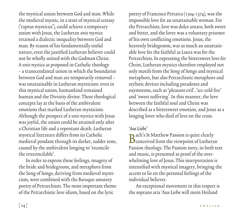the mystical union between God and man. While the medieval mystic, in a state of mystical ecstasy ('raptus mysticus'), could achieve a temporary union with Jesus, the Lutheran unio mystica retained a dialectic inequality between God and man. By reason of his fundamentally sinful nature, even the justified Lutheran believer could not be wholly united with the Godman Christ. A unio mysticaas proposed in Catholic theology – a transcendantal union in which the boundaries between God and man are temporarily removed – was unattainable in Lutheran mysticism: even in this mystical union, humankind remained human and the Divinity divine. These theological concepts lay at the basis of the ambivalent emotions that marked Lutheran mysticism. Although the prospect of a unio mystica with Jesus was joyful, the union could be attained only after a Christian life and a repentant death. Lutheran mystical literature differs from its Catholic medieval pendant through its darker, sadder tone, caused by the ambivalent longing to 'reconcile the irreconcilable'.

In order to express these feelings, imagery of the bride and bridegroom, and metaphors from the Song of Songs, deriving from medieval mysticism, were combined with the Baroque amatory poetry of Petrarchism. The most important theme of the Petrarchistic love idiom, based on the lyric

poetry of Francesco Petrarca (1304-1374), was the impossible love for an unattainable woman. For the Petrarchists, love was dolce amaro, both sweet and bitter, and the lover was a voluntary prisoner of his own conflicting emotions. Jesus, the heavenly bridegroom, was as much an unattainable love for the faithful as Laura was for the Petrarchists. In expressing the bittersweet love for Christ, Lutheran mystics therefore employed not only motifs from the Song of Songs and mystical metaphors, but also Petrarchistic metaphors and stylistic devices including paradoxes and oxymorons, such as 'pleasant evil', 'ice-cold fire' and 'sweet suffering'. In this manner, the love between the faithful soul and Christ was described as a bittersweet emotion, and Jesus as a longing lover who died of love on the cross.

#### 'Aus Liebe'

Bach's St Matthew Passion is quite clearly conceived from the viewpoint of Lutheran Passion theology. The Passion story, in both text and music, is presented as proof of the overwhelming love of Jesus. This interpretation is intensified with mystical imagery, bringing the accent to lie on the personal feelings of the individual believer.

An exceptional movement in this respect is the soprano aria 'Aus Liebe will mein Heiland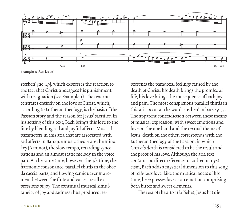

sterben' [no. 49], which expresses the reaction to the fact that Christ undergoes his punishment with resignation (see Example 1). The text concentrates entirely on the love of Christ, which, according to Lutheran theology, is the basis of the Passion story and the reason for Jesus' sacrifice. In his setting of this text, Bach brings this love to the fore by blending sad and joyful affects. Musical parameters in this aria that are associated with sad affects in Baroque music theory are the minor key (A minor), the slow tempo, retarding syncopations and an almost static melody in the voice part. At the same time, however, the 3/4 time, the harmonic consonance, parallel thirds in the oboe da caccia parts, and flowing semiquaver movement between the flute and voice, are all expressions of joy. The continual musical simultaneity of joy and sadness thus produced, re-

presents the paradoxal feelings caused by the death of Christ: his death brings the promise of life, his love brings the consequence of both joy and pain. The most conspicuous parallel thirds in this aria occur at the word 'sterben' in bars 49-53. The apparent contradiction between these means of musical expression, with sweet emotions and love on the one hand and the textual theme of Jesus' death on the other, corresponds with the Lutheran theology of the Passion, in which Christ's death is considered to be the result and the proof of his love. Although the aria text contains no direct reference to Lutheran mysticism, Bach adds a mystical dimension to this song of religious love. Like the mystical poets of his time, he expresses love as an emotion comprising both bitter and sweet elements.

The text of the alto aria 'Sehet, Jesus hat die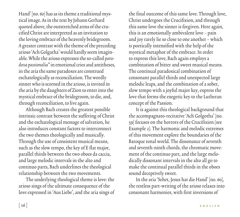Hand' [no. 60] has as its theme a traditional mystical image. As in the text by Johann Gerhard quoted above, the outstretched arms of the crucified Christ are interpreted as an invitation to the loving embrace of the heavenly bridegroom. A greater contrast with the theme of the preceding arioso 'Ach Golgatha' would hardly seem imaginable. While the arioso expresses the so-called paradoxa passionalia\*in emotional cries and antitheses, in the aria the same paradoxes are construed eschatologically as reconciliation. The wordly sinner who is scorned in the arioso, is invited in the aria by the daughters of Zion to enter into the mystical embrace of the bridegroom, to die, and, through reconciliation, to live again.

Although Bach creates the greatest possible intrinsic contrast between the suffering of Christ and the eschatological message of salvation, he also introduces constant factors to interconnect the two themes theologically and musically. Through the use of consistent musical means, such as the slow tempo, the key of E flat major, parallel thirds between the two oboes da caccia, and large melodic intervals in the alto and continuo parts, Bach underlines the theological relationship between the two movements.

The underlying theological theme is love: the arioso sings of the ultimate consequence of the love expressed in 'Aus Liebe', and the aria sings of

the final outcome of this same love. Through love, Christ undergoes the Crucifixion, and through this same love the sinner is forgiven. Here again, this is an emotionally ambivalent love – pain and joy rarely lie so close to one another – which is poetically intensified with the help of the mystical metaphor of the embrace. In order to express this love, Bach again employs a combination of bitter and sweet musical means. The continual paradoxical combination of consonant parallel thirds and unexpected large melodic leaps, and the combination of a sober, slow tempo with a joyful major key, express the love that forms the exegetic key to the Lutheran concept of the Passion.

It is against this theological background that the accompagnato-recitative 'Ach Golgotha' [no. 59] focuses on the horrors of the Crucifixion (see Example 2). The harmonic and melodic extremes of this movement explore the boundaries of the Baroque tonal world. The dissonance of seventh and seventh-ninth chords, the chromatic movement of the continuo part, and the large melodically dissonant intervals in the alto all go to make the continual parallel thirds in the oboes sound deceptively sweet.

In the aria 'Sehet, Jesus hat die Hand' [no. 60], the restless part-writing of the arioso relaxes into consonant harmonies, with first inversions of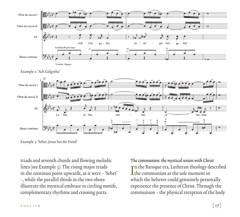



Example 3: 'Sehet, Jesus hat die Hand'

triads and seventh chords and flowing melodic lines (see Example 3). The rising major triads in the continuo point upwards, as it were – 'Sehet' –, while the parallel thirds in the two oboes illustrate the mystical embrace in circling motifs, complementary rhythms and crossing parts.

The communion: the mystical union with Christ In the Baroque era, Lutheran theology described<br>the communion as the sole moment in the communion as the sole moment in which the believer could genuinely personally experience the presence of Christ. Through the communion – the physical reception of the body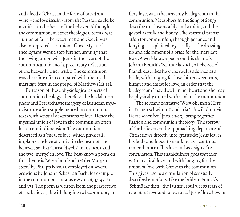and blood of Christ in the form of bread and wine– the love issuing from the Passion could be manifest in the heart of the believer. Although the communion, in strict theological terms, was a union of faith between man and God, it was also interpreted as a union of love. Mystical theologians went a step further, arguing that the loving union with Jesus in the heart of the communicant formed a precursory reflection of the heavenly unio mystica. The communion was therefore often compared with the royal marriage feast in the gospel of Matthew (Mt 22).

By reason of these physiological aspects of communion theology, therefore, the bridal metaphors and Petrarchistic imagery of Lutheran mysticism are often supplemented in communion texts with sensual descriptions of love. Hence the mystical union of love in the communion often has an erotic dimension. The communion is described as a 'meal of love' which physically implants the love of Christ in the heart of the believer, so that Christ 'dwells' in his heart and the two 'merge' in love. The best-known poem on this theme is 'Wie schön leuchtet der Morgenstern' by Philipp Nicolai, employed on several occasions by Johann Sebastian Bach, for example in the communion cantatas bwv 1, 36, 37, 49, 61 and 172. The poem is written from the perspective of the believer, ill with longing to become one, in

fiery love, with the heavenly bridegroom in the communion. Metaphors in the Song of Songs describe this love as a lily and a robin, and the gospel as milk and honey. The spiritual preparation for communion, through penance and longing, is explained mystically as the dressing up and adornment of a bride for the marriage feast. A well-known poem on this theme is Johann Franck's 'Schmücke dich, o liebe Seele'. Franck describes how the soul is adorned as a bride, with longing for love, bittersweet tears, hunger and thirst for love, in order that the bridegroom 'may dwell' in her heart and she may be physically united with God in the communion.

The soprano recitative 'Wiewohl mein Herz in Tränen schwimmt' and aria 'Ich will dir mein Herze schenken' [nos. 12-13], bring together Passion and communion theology. The sorrow of the believer on the approaching departure of Christ flows directly into gratitude: Jesus leaves his body and blood to mankind as a continual remembrance of his love and as a sign of reconciliation. This thankfulness goes together with mystical love, and with longing for the union of love with Christ in the communion. This gives rise to a cumulation of sensually described emotions. Like the bride in Franck's 'Schmücke dich', the faithful soul weeps tears of repentant love and longs to feel Jesus' love flow in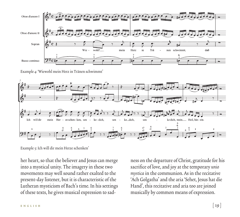

Example 4: 'Wiewohl mein Herz in Tränen schwimmt'



Example 5: Ich will dir mein Herze schenken'

her heart, so that the believer and Jesus can merge into a mystical unity. The imagery in these two movements may well sound rather exalted to the present-day listener, but it is characteristic of the Lutheran mysticism of Bach's time. In his settings of these texts, he gives musical expression to sadness on the departure of Christ, gratitude for his sacrifice of love, and joy at the temporary unio mystica in the communion. As in the recitative 'Ach Golgatha' and the aria 'Sehet, Jesus hat die Hand', this recitative and aria too are joined musically by common means of expression.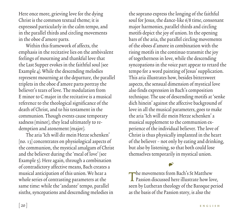Here once more, grieving love for the dying Christ is the common textual theme; it is expressed particularly in the calm tempo, and in the parallel thirds and circling movements in the oboe d'amore parts.

Within this framework of affects, the emphasis in the recitative lies on the ambivalent feelings of mourning and thankful love that the Last Supper evokes in the faithful soul (see Example 4). While the descending melodies represent mourning at the departure, the parallel triplets in the oboe d'amore parts portray the believer's tears of love. The modulation from E minor to C major in the recitative is a musical reference to the theological significance of the death of Christ, and to his testament in the communion. Though events cause temporary sadness (minor), they lead ultimately to redemption and atonement (major).

The aria 'Ich will dir mein Herze schenken' [no. 13] concentrates on physiological aspects of the communion, the mystical amalgam of Christ and the believer during the 'meal of love' (see Example 5). Here again, through a combination of contradictory affective means, Bach creates a musical anticipation of this union. We hear a whole series of contrasting parameters at the same time: while the 'andante' tempo, parallel sixths, syncopations and descending melodies in

the soprano express the longing of the faithful soul for Jesus, the dance-like 6/8 time, consonant major harmonies, parallel thirds and circling motifs depict the joy of union. In the opening bars of the aria, the parallel circling movements of the oboes d'amore in combination with the rising motifs in the continuo transmit the joy of togetherness in love, while the descending syncopations in the voice part appear to retard the tempo for a word painting of Jesus' supplication. This aria illustrates how, besides bittersweet aspects, the sensual dimension of mystical love also finds expression in Bach's composition technique. The use of descending motifs at 'senke dich hinein' against the affective background of love in all the musical parameters, goes to make the aria 'Ich will dir mein Herze schenken' a musical supplement to the communion experience of the individual believer. The love of Christ is thus physically implanted in the heart of the believer– not only by eating and drinking, but also by listening, so that both could lose themselves temporarily in mystical union.

### $\bullet$

The movements from Bach's St Matthew<br>Passion discussed here illustrate how love seen by Lutheran theology of the Baroque period as the basis of the Passion story, is also the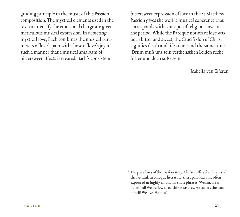guiding principle in the music of this Passion composition. The mystical elements used in the text to intensify the emotional charge are given meticulous musical expression. In depicting mystical love, Bach combines the musical parameters of love's pain with those of love's joy in such a manner that a musical amalgam of bittersweet affects is created. Bach's consistent

bittersweet expression of love in the St Matthew Passion gives the work a musical coherence that corresponds with concepts of religious love in the period. While the Baroque notion of love was both bitter and sweet, the Crucifixion of Christ signifies death and life at one and the same time: 'Drum muß uns sein verdienstlich Leiden recht bitter und doch süße sein'.

Isabella van Elferen

\* The paradoxes of the Passion story: Christ suffers for the sins of the faithful. In Baroque literature, these paradoxes are often expressed in highly emotional short phrases: 'We sin, He is punished! We wallow in earthly pleasures, He suffers the pain of hell! We live, He dies!'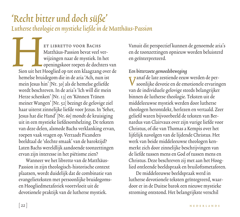## 'Recht bitter und doch süße' Lutherse theologie en mystieke liefde in de Matthäus-Passion

ET LIBRETTO VOOR BACHS<br>
Matthäus-Passion bevat veel<br>
wijzingen naar de mystick. In<br>
openingskoor roepen de doch<br>
Sion uit het Hooglied op tot een klaagzang<br>
hemelse bruidegom die in de aria 'Ach, nu Matthäus-Passion bevat veel verwijzingen naar de mystiek. In het openingskoor roepen de dochters van Sion uit het Hooglied op tot een klaagzang over de hemelse bruidegom die in de aria 'Ach, nun ist mein Jesus hin' [Nr. 30] als de hemelse geliefde wordt beschreven. In de aria's 'Ich will dir mein Herze schenken' [Nr. 13] en 'Können Tränen meiner Wangen' [Nr. 52] bezingt de gelovige ziel haar uiterst zinnelijke liefde voor Jezus. In 'Sehet, Jesus hat die Hand' [Nr. 60] mondt de kruisiging uit in een mystieke liefdesomhelzing. De teksten van deze delen, alsmede Bachs verklanking ervan, roepen vaak vragen op. Verraadt Picanders beeldtaal de 'slechte smaak' van de baroktijd? Laten Bachs wereldlijk aandoende toonzettingen ervan zijn interesse in het piëtisme zien?

Wanneer we het libretto van de Matthäus-Passion in zijn theologisch-historische context plaatsen, wordt duidelijk dat de combinatie van evangelieteksten met persoonlijke bruidegomsen Hoogliedmetaforiek voortvloeit uit de devotionele praktijk van de lutherse mystiek.

Vanuit dit perspectief kunnen de genoemde aria's en de toonzettingen opnieuw worden beluisterd en geïnterpreteerd.

Een bitterzoete gemoedsbeweging<br>Tanaf de late zestiende eeuw werden de per-Vanaf de late zestiende eeuw werden de per-soonlijke devotie en de emotionele ervaringen van de individuele gelovige steeds belangrijker binnen de lutherse theologie. Teksten uit de middeleeuwse mystiek werden door lutherse theologen herontdekt, herlezen en vertaald. Zeer geliefd waren bijvoorbeeld de teksten van Bernardus van Clairvaux over zijn vurige liefde voor Christus, of die van Thomas a Kempis over het lijfelijk navolgen van de lijdende Christus. Het werk van beide middeleeuwse theologen kenmerkt zich door zinnelijke beschrijvingen van de liefde tussen mens en God of tussen mens en Christus. Deze beschreven zij met aan het Hooglied ontleende beeldspraak en bruiloftsmetaforen.

De middeleeuwse beeldspraak werd in lutherse devotionele teksten geïntegreerd, waardoor er in de Duitse barok een nieuwe mystieke stroming ontstond. Het belangrijkste verschil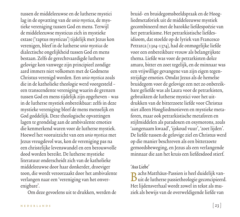tussen de middeleeuwse en de lutherse mystici lag in de opvatting van de unio mystica, de mystieke vereniging tussen God en mens. Terwijl de middeleeuwse mysticus zich in mystieke extase ('raptus mysticus') tijdelijk met Jezus kon verenigen, bleef in de lutherse unio mystica de dialectische ongelijkheid tussen God en mens bestaan. Zelfs de gerechtvaardigde lutherse gelovige kon vanwege zijn principieel zondige aard immers niet volkomen met de Godmens Christus verenigd worden. Een unio mysticazoals die in de katholieke theologie werd voorgesteld – een transcendente vereniging waarin de grenzen tussen God en mens tijdelijk zijn opgeheven – was in de lutherse mystiek onbereikbaar: zelfs in deze mystieke vereniging bleef de mens menselijk en God goddelijk. Deze theologische opvattingen lagen te grondslag aan de ambivalente emoties die kenmerkend waren voor de lutherse mystiek. Hoewel het vooruitzicht van een unio mystica met Jezus vreugdevol was, kon de vereniging pas na een christelijke levenswandel en een berouwvolle dood worden bereikt. De lutherse mystieke literatuur onderscheidt zich van de katholieke middeleeuwse door haar donkerder, droeviger toon, die wordt veroorzaakt door het ambivalente verlangen naar een 'vereniging van het onverenigbare'.

Om deze gevoelens uit te drukken, werden de

bruid- en bruidegomsbeeldspraak en de Hoogliedmetaforiek uit de middeleeuwse mystiek gecombineerd met de barokke liefdespoëzie van het petrarkisme. Het petrarkistische liefdesidioom, dat stoelde op de lyriek van Francesco Petrarca (1304-1374), had de onmogelijke liefde voor een onbereikbare vrouw als belangrijkste thema. Liefde was voor de petrarkisten dolce amaro, bitter en zoet tegelijk, en de minnaar was een vrijwillige gevangene van zijn eigen tegenstrijdige emoties. Omdat Jezus als de hemelse bruidegom voor de gelovige een net zo onbereikbare geliefde was als Laura voor de petrarkisten, gebruikten de lutherse mystici voor het uitdrukken van de bitterzoete liefde voor Christus niet alleen Hoogliedmotieven en mystieke metaforen, maar ook petrarkistische metaforen en stijlmiddelen als paradoxen en oxymorons, zoals 'aangenaam kwaad', 'ijskoud vuur', 'zoet lijden'. De liefde tussen de gelovige ziel en Christus werd op die manier beschreven als een bitterzoete gemoedsbeweging, en Jezus als een verlangende minnaar die aan het kruis een liefdesdood stierf.

'Aus Liebe'<br>**D**achs Matthäus-Passion is heel duidelijk van-Bachs Matthäus-Passion is heel duidelijk van-uit de lutherse passietheologie geconcipieerd. Het lijdensverhaal wordt zowel in tekst als muziek als bewijs van de overweldigende liefde van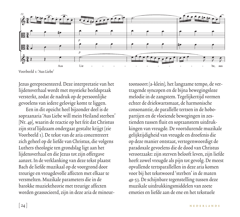

Voorbeeld 1: 'Aus Liebe'

Jezus gerepresenteerd. Deze interpretatie van het lijdensverhaal wordt met mystieke beeldspraak versterkt, zodat de nadruk op de persoonlijke gevoelens van iedere gelovige komt te liggen.

Een in dit opzicht heel bijzonder deel is de sopraanaria 'Aus Liebe will mein Heiland sterben' [Nr. 49], waarin de reactie op het feit dat Christus zijn straf lijdzaam ondergaat gestalte krijgt (zie Voorbeeld 1). De tekst van de aria concentreert zich geheel op de liefde van Christus, die volgens Luthers theologie ten grondslag ligt aan het lijdensverhaal en die Jezus tot zijn offergave aanzet. In de verklanking van deze tekst plaatst Bach de liefde muzikaal op de voorgrond door treurige en vreugdevolle affecten met elkaar te versmelten. Muzikale parameters die in de barokke muziektheorie met treurige affecten worden geassocieerd, zijn in deze aria de mineur-

toonsoort (a-klein), het langzame tempo, de vertragende syncopen en de bijna bewegingsloze melodie in de zangstem. Tegelijkertijd vormen echter de driekwartsmaat, de harmonische consonantie, de parallelle tertsen in de hobopartijen en de vloeiende bewegingen in zestienden tussen fluit en sopraanstem uitdrukkingen van vreugde. De voortdurende muzikale gelijktijdigheid van vreugde en droefenis die op deze manier ontstaat, vertegenwoordigt de paradoxale gevoelens die de dood van Christus veroorzaakt: zijn sterven belooft leven, zijn liefde heeft zowel vreugde als pijn tot gevolg. De meest opvallende tertsparallellen in deze aria komen voor bij het tekstwoord 'sterben' in de maten 49-53. De schijnbare tegenstelling tussen deze muzikale uitdrukkingsmiddelen van zoete emoties en liefde aan de ene en het tekstuele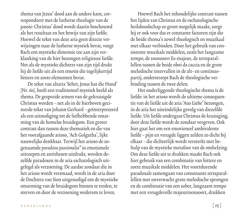thema van Jezus' dood aan de andere kant, correspondeert met de lutherse theologie van de passie: Christus' dood wordt daarin beschouwd als het resultaat en het bewijs van zijn liefde. Hoewel de tekst van deze aria geen directe verwijzingen naar de lutherse mystiek bevat, voegt Bach een mystieke dimensie toe aan zijn verklanking van de hier bezongen religieuze liefde. Net als de mystieke dichters van zijn tijd drukt hij de liefde uit als een emotie die tegelijkertijd bittere en zoete elementen bevat.

De tekst van altaria 'Sehet, Jesus hat die Hand' [Nr. 60], heeft een traditioneel mystiek beeld als thema. De gespreide armen van de gekruisigde Christus worden – net als in de hierboven geciteerde tekst van Johann Gerhard – geïnterpreteerd als een uitnodiging tot de liefhebbende omarming van de hemelse bruidegom. Een groter contrast dan tussen deze thematiek en die van het voorafgaande arioso, 'Ach Golgatha', lijkt nauwelijks denkbaar. Terwijl het arioso de zogenaamde paradoxa passionalia\*in emotionele uitroepen en antithesen uitdrukt, worden dezelfde paradoxen in de aria eschatologisch uitgelegd als verzoening. De aardse zondaar die in het arioso wordt versmaad, wordt in de aria door de Dochters van Sion uitgenodigd om de mystieke omarming van de bruidegom binnen te treden, te sterven en door de verzoening wederom te leven.

Hoewel Bach het inhoudelijke contrast tussen het lijden van Christus en de eschatologische heilsboodschap zo groot mogelijk maakt, zorgt hij er ook voor dat er constante factoren zijn die de beide thema's zowel theologisch en muzikaal met elkaar verbinden. Door het gebruik van consistente muzikale middelen, zoals het langzame tempo, de toonsoort Es-majeur, de tertsparallellen tussen de beide oboi da caccia en de grote melodische intervallen in de alt- en continuopartij, onderstreept Bach de theologische verbinding tussen de twee delen.

Het onderliggende theologische thema is de liefde: in het arioso wordt de ultieme consequentie van de liefde uit de aria 'Aus Liebe' bezongen, in de aria het uiteindelijke gevolg van diezelfde liefde. Uit liefde ondergaat Christus de kruisiging, door deze liefde wordt de zondaar vergeven. Ook hier gaat het om een emotioneel ambivalente liefde – pijn en vreugde liggen zelden zo dicht bij elkaar – die dichterlijk wordt versterkt met behulp van de mystieke metafoor van de omhelzing. Om deze liefde uit te drukken maakt Bach ook hier gebruik van een combinatie van bittere en zoete muzikale middelen. Het voortdurende paradoxale samengaan van consonante tertsparallellen met onverwacht grote melodische sprongen en de combinatie van een sober, langzaam tempo met een vreugdevolle majeurtoonsoort, drukken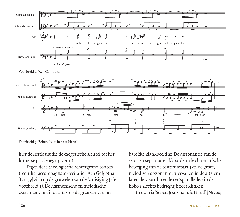





Voorbeeld 3: 'Sehet, Jesus hat die Hand'

hier de liefde uit die de exegetische sleutel tot het lutherse passiebegrip vormt.

Tegen deze theologische achtergrond concentreert het accompagnato-recitatief 'Ach Golgotha' [Nr. 59] zich op de gruwelen van de kruisiging (zie Voorbeeld 2). De harmonische en melodische extremen van dit deel tasten de grenzen van het

barokke klankbeeld af. De dissonantie van de sept- en sept-none-akkoorden, de chromatische beweging van de continuopartij en de grote, melodisch dissonante intervallen in de altstem laten de voortdurende tertsparallellen in de hobo's slechts bedrieglijk zoet klinken.

In de aria 'Sehet, Jesus hat die Hand' [Nr. 60]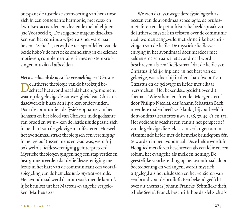ontspant de rusteloze stemvoering van het arioso zich in een consonante harmonie, met sext- en kwintsextaccoorden en vloeiende melodielijnen (zie Voorbeeld 3). De stijgende majeur-drieklanken van het continuo wijzen als het ware naar boven – 'Sehet' –, terwijl de tertsparallellen van de beide hobo's de mystieke omhelzing in cirkelende motieven, complementaire ritmes en stemkruisingen muzikaal afbeelden.

Het avondmaal: de mystieke versmelting met Christus<br>
e lutherse theologie van de baroktijd be-De lutherse theologie van de baroktijd be-schreef het avondmaal als het enige moment waarop de gelovige de aanwezigheid van Christus daadwerkelijk aan den lijve kon ondervinden. Door de communie – de fysieke opname van het lichaam en het bloed van Christus in de gedaante van brood en wijn – kon de liefde uit de passie zich in het hart van de gelovige manifesteren. Hoewel het avondmaal strikt theologisch een vereniging in het geloof tussen mens en God was, werd hij ook wel als liefdesvereniging geïnterpreteerd. Mystieke theologen gingen nog een stap verder en beargumenteerden dat de liefdesvereniging met Jezus in het hart van de communicant een voorafspiegeling van de hemelse unio mystica vormde. Het avondmaal werd daarom vaak met de koninklijke bruiloft uit het Matteüs-evangelie vergeleken (Matheus 22).

pecten van de avondmaalstheologie, de bruidsmetaforen en de petrarkistische beeldspraak van de lutherse mystiek in teksten over de communie vaak worden aangevuld met zinnelijke beschrijvingen van de liefde. De mystieke liefdesvereniging in het avondmaal doet hierdoor niet zelden erotisch aan. Het avondmaal wordt beschreven als een 'liefdesmaal' dat de liefde van Christus lijfelijk 'inplant' in het hart van de gelovige, waardoor hij in diens hart 'woont' en Christus en de gelovige in liefde met elkaar 'versmelten'. Het bekendste gedicht over dit thema is 'Wie schön leuchtet der Morgenstern' door Philipp Nicolai, dat Johann Sebastian Bach meerdere malen heeft verklankt, bijvoorbeeld in de avondmaalscantates bwv 1, 36, 37, 49, 61 en 172. Het gedicht is geschreven vanuit het perspectief van de gelovige die ziek is van verlangen om in vlammende liefde met de hemelse bruidegom één te worden in het avondmaal. Deze liefde wordt in Hoogliedmetaforen beschreven als een lelie en een robijn, het evangelie als melk en honing. De geestelijke voorbereiding op het avondmaal, door boetedoening en verlangen, wordt mystiek uitgelegd als het uitdossen en het versieren van een bruid voor de bruiloft. Een bekend gedicht over dit thema is Johann Francks 'Schmücke dich, o liebe Seele'. Franck beschrijft hoe de ziel zich als

We zien dat, vanwege deze fysiologisch as-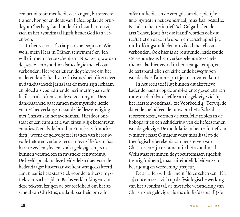een bruid tooit met liefdesverlangen, bitterzoete tranen, honger en dorst van liefde, opdat de bruidegom 'herberg kan houden' in haar hart en zij zich in het avondmaal lijfelijk met God kan verenigen.

In het recitatief-aria-paar voor sopraan 'Wiewohl mein Herz in Tränen schwimmt' en 'Ich will dir mein Herze schenken' [Nrs. 12-13] worden de passie- en avondmaalstheologie met elkaar verbonden. Het verdriet van de gelovige om het naderende afscheid van Christus vloeit direct over in dankbaarheid: Jezus laat de mens zijn lichaam en bloed als voortdurende herinnering aan zijn liefde en als teken van de verzoening na. Deze dankbaarheid gaat samen met mystieke liefde en met het verlangen naar de liefdesvereniging met Christus in het avondmaal. Hierdoor ontstaat er een cumulatie van zintuiglijk beschreven emoties. Net als de bruid in Francks 'Schmücke dich', weent de gelovige ziel tranen van berouwvolle liefde en verlangt ernaar Jezus' liefde in haar hart te voelen vloeien, zodat gelovige en Jezus kunnen versmelten in mystieke eenwording. De beeldspraak in deze beide delen doet voor de hedendaagse luisteraar wellicht wat geëxalteerd aan, maar is karakteristiek voor de lutherse mystiek van Bachs tijd. In Bachs verklankingen van deze teksten krijgen de bedroefdheid om het afscheid van Christus, de dankbaarheid om zijn

offer uit liefde, en de vreugde om de tijdelijke unio mystica in het avondmaal, muzikaal gestalte. Net als in het recitatief 'Ach Golgatha' en de aria 'Sehet, Jesus hat die Hand' worden ook dit recitatief en deze aria door gemeenschappelijke uitdrukkingsmiddelen muzikaal met elkaar verbonden. Ook hier is de rouwende liefde tot de stervende Jezus het overkoepelende tekstuele thema, dat hier vooral in het rustige tempo, en de tertsparallellen en cirkelende bewegingen van de oboe d'amore-partijen naar voren komt.

In het recitatief ligt binnen dit affectieve kader de nadruk op de ambivalente gevoelens van rouw en dankbare liefde van de gelovige ziel bij het laatste avondmaal (zie Voorbeeld 4). Terwijl de dalende melodieën de rouw om het afscheid representeren, vormen de parallelle triolen in de hobopartijen een schildering van de liefdestranen van de gelovige. De modulatie in het recitatief van e-mineur naar C-majeur wijst muzikaal op de theologische betekenis van het sterven van Christus en zijn testament in het avondmaal. Weliswaar stemmen de gebeurtenissen tijdelijk treurig (mineur), maar uiteindelijk leiden ze tot bevrijding en verzoening (majeur).

De aria 'Ich will dir mein Herze schenken' [Nr. 13] concentreert zich op de fysiologische werking van het avondmaal, de mystieke versmelting van Christus en gelovige tijdens dit 'liefdesmaal' (zie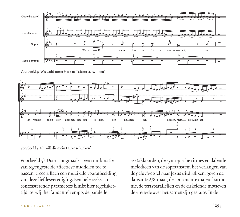

Voorbeeld 4: 'Wiewohl mein Herz in Tränen schwimmt'



Voorbeeld 5: Ich will dir mein Herze schenken'

Voorbeeld 5). Door – nogmaals – een combinatie van tegengestelde affectieve middelen toe te passen, creëert Bach een muzikale voorafbeelding van deze liefdesvereniging. Een hele reeks aan contrasterende parameters klinkt hier tegelijkertijd: terwijl het 'andante' tempo, de paralelle

sextakkoorden, de syncopische ritmes en dalende melodieën van de sopraanstem het verlangen van de gelovige ziel naar Jezus uitdrukken, geven de dansante 6/8-maat, de consonante majeurharmonie, de tertsparallellen en de cirkelende motieven de vreugde over het samenzijn gestalte. In de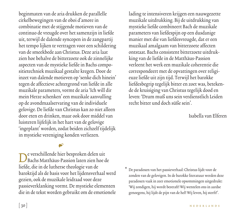beginmaten van de aria drukken de parallelle cirkelbewegingen van de oboi d'amore in combinatie met de stijgende motieven van de continuo de vreugde over het samenzijn in liefde uit, terwijl de dalende syncopen in de zangpartij het tempo lijken te vertragen voor een schildering van de smeekbede aan Christus. Deze aria laat zien hoe behalve de bitterzoete ook de zinnelijke aspecten van de mystieke liefde in Bachs compositietechniek muzikaal gestalte kregen. Door de inzet van dalende motieven op 'senke dich hinein' tegen de affectieve achtergrond van liefde in alle muzikale parameters, vormt de aria 'Ich will dir mein Herze schenken' een muzikale aanvulling op de avondmaalservaring van de individuele gelovige. De liefde van Christus kan zo niet alleen door eten en drinken, maar ook door middel van luisteren lijfelijk in het hart van de gelovige 'ingeplant' worden, zodat beiden zichzelf tijdelijk in mystieke vereniging konden verliezen.

e verschillende hier besproken delen uit Bachs Matthäus-Passion laten zien hoe de liefde, die in de lutherse theologie van de baroktijd als de basis voor het lijdensverhaal werd gezien, ook de muzikale leidraad voor deze passieverklanking vormt. De mystieke elementen die in de tekst worden gebruikt om de emotionele

N

lading te intensiveren krijgen een nauwgezette muzikale uitdrukking. Bij de uitdrukking van mystieke liefde combineert Bach de muzikale parameters van liefdespijn op een dusdanige manier met die van liefdesvreugde, dat er een muzikaal amalgaam van bitterzoete affecten ontstaat. Bachs consistent bitterzoete uitdrukking van de liefde in de Matthäus-Passion verleent het werk een muzikale coherentie die correspondeert met de opvattingen over religieuze liefde uit zijn tijd. Terwijl het barokke liefdesbegrip tegelijk bitter en zoet was, betekende de kruisiging van Christus tegelijk dood en leven: 'Drum muß uns sein verdienstlich Leiden recht bitter und doch süße sein'.

### Isabella van Elferen

De paradoxen van het passieverhaal: Christus lijdt voor de zonden van de gelovigen. In de barokke literatuur werden deze paradoxen vaak in zeer emotionele opsommingen uitgedrukt: 'Wij zondigen, hij wordt bestraft! Wij wentelen ons in aardse genoegens, hij lijdt de pijn van de hel! Wij leven, hij sterft!'.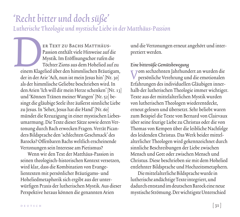## 'Recht bitter und doch süße' Lutherische Theologie und mystische Liebe in der Matthäus-Passion

ER TEXT ZU BACHS MATTHÄUS-<br>Passion enthält viele Hinweise auf<br>Mystik. Im Eröffnungschor rufen d<br>Töchter Zions aus dem Hohelied au<br>einem Klagelied über den himmlischen Bräuti<br>der in der Arie 'Ach, nun ist mein Jesus hin' [N Passion enthält viele Hinweise auf die Mystik. Im Eröffnungschor rufen die Töchter Zions aus dem Hohelied auf zu einem Klagelied über den himmlischen Bräutigam, der in der Arie 'Ach, nun ist mein Jesus hin' [Nr. 30] als der himmlische Geliebte beschrieben wird. In den Arien 'Ich will dir mein Herze schenken' [Nr. 13] und 'Können Tränen meiner Wangen' [Nr. 52] besingt die gläubige Seele ihre äußerst sinnliche Liebe zu Jesus. In 'Sehet, Jesus hat die Hand' [Nr. 60] mündet die Kreuzigung in einer mystischen Liebesumarmung. Die Texte dieser Sätze sowie deren Vertonung durch Bach erwecken Fragen. Verrät Picanders Bildsprache den 'schlechten Geschmack' des Barocks? Offenbaren Bachs weltlich erscheinende Vertonungen sein Interesse am Pietismus?

Wenn wir den Text der Matthäus-Passion in seinen theologisch-historischen Kontext versetzen, wird klar, dass die Kombination von Evangelientexten mit persönlicher Bräutigams- und Hoheliedmetaphorik sich ergibt aus der unterwürfigen Praxis der lutherischen Mystik. Aus dieser Perspektive heraus können die genannten Arien

und die Vertonungen erneut angehört und interpretiert werden.

#### Eine bittersüße Gemütsbewegung

Vom sechzehnten Jahrhundert an wurden die persönliche Verehrung und die emotionalen Erfahrungen des individuellen Gläubigen innerhalb der lutherischen Theologie immer wichtiger. Texte aus der mittelalterlichen Mystik wurden von lutherischen Theologen wiederentdeckt, erneut gelesen und übersetzt. Sehr beliebt waren zum Beispiel die Texte von Bernard von Clairvaux über seine feurige Liebe zu Christus oder die von Thomas von Kempen über die leibliche Nachfolge des leidenden Christus. Das Werk beider mittelalterlicher Theologen wird gekennzeichnet durch sinnliche Beschreibungen der Liebe zwischen Mensch und Gott oder zwischen Mensch und Christus. Diese beschrieben sie mit dem Hohelied entlehnter Bildsprache und Hochzeitsmetaphern.

Die mittelalterliche Bildsprache wurde in lutherische andächtige Texte integriert, und dadurch entstand im deutschen Barock eine neue mystische Strömung. Der wichtigste Unterschied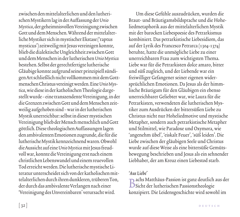zwischen den mittelalterlichen und den lutherischen Mystikern lag in der Auffassung der Unio Mystica, der geheimnisvollen Vereinigung zwischen Gott und dem Menschen. Während der mittelalterliche Mystiker sich in mystischer Ekstase ('raptus mysticus') zeitweilig mit Jesus vereinigen konnte, blieb die dialektische Ungleichheit zwischen Gott und dem Menschen in der lutherischen Unio Mystica bestehen. Selbst der gerechtfertigte lutherische Gläubige konnte aufgrund seiner prinzipiell sündigen Art schließlich nicht vollkommen mit dem Gottmenschen Christus vereinigt werden. Eine Unio Mystica, wie diese in der katholischen Theologie dargestellt wurde – eine transzendente Vereinigung, in der die Grenzen zwischen Gott und dem Menschen zeitweilig aufgehoben sind – war in der lutherischen Mystik unerreichbar: selbst in dieser mystischen Vereinigung blieb der Mensch menschlich und Gott göttlich. Diese theologischen Auffassungen lagen den ambivalenten Emotionen zugrunde, die für die lutherische Mystik kennzeichnend waren. Obwohl die Aussicht auf eine Unio Mysticamit Jesus freudvoll war, konnte die Vereinigung erst nach einem christlichen Lebenswandel und einem reuevollen Tod erreicht werden. Die lutherische mystische Literatur unterscheidet sich von der katholischen mittelalterlichen durch ihren dunkleren, trüberen Ton, der durch das ambivalente Verlangen nach einer 'Vereinigung des Unvereinbaren' verursacht wird.

Um diese Gefühle auszudrücken, wurden die Braut- und Bräutigamsbildsprache und die Hoheliedmetaphorik aus der mittelalterlichen Mystik mit der barocken Liebespoesie des Petrarkismus kombiniert. Das petrarkistische Liebesidiom, das auf der Lyrik des Francesco Petrarca (1304-1374) beruhte, hatte die unmögliche Liebe zu einer unerreichbaren Frau zum wichtigsten Thema. Liebe war für die Petrarkisten dolce amaro, bitter und süß zugleich, und der Liebende war ein freiwilliger Gefangener seiner eigenen widersprüchlichen Emotionen. Da Jesus als der himmlische Bräutigam für den Gläubigen ein ebenso unerreichbarer Geliebter war, wie Laura für die Petrarkisten, verwendeten die lutherischen Mystiker zum Ausdrücken der bittersüßen Liebe zu Christus nicht nur Hoheliedmotive und mystische Metapher, sondern auch petrarkistische Metapher und Stilmittel, wie Paradoxe und Oxymora, wie 'angenehm übel', 'eiskalt Feuer', 'süß leiden'. Die Liebe zwischen der gläubigen Seele und Christus wurde auf diese Weise als eine bittersüße Gemütsbewegung beschrieben und Jesus als ein sehnender Liebhaber, der am Kreuz einen Liebestod starb.

#### 'Aus Liebe'

Bachs Matthäus-Passion ist ganz deutlich aus der Sicht der lutherischen Passionstheologie konzipiert. Die Leidensgeschichte wird sowohl im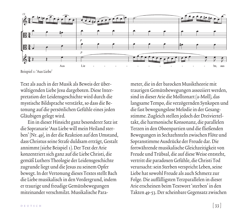

Beispiel 1: 'Aus Liebe'

Text als auch in der Musik als Beweis der überwältigenden Liebe Jesu dargeboten. Diese Interpretation der Leidensgeschichte wird durch die mystische Bildsprache verstärkt, so dass die Betonung auf die persönlichen Gefühle eines jeden Gläubigen gelegt wird.

Ein in dieser Hinsicht ganz besonderer Satz ist die Sopranarie 'Aus Liebe will mein Heiland sterben' [Nr. 49], in der die Reaktion auf den Umstand, dass Christus seine Strafe duldsam erträgt, Gestalt annimmt (siehe Beispiel 1). Der Text der Arie konzentriert sich ganz auf die Liebe Christi, die gemäß Luthers Theologie der Leidensgeschichte zugrunde liegt und die Jesus zu seinem Opfer bewegt. In der Vertonung dieses Textes stellt Bach die Liebe musikalisch in den Vordergrund, indem er traurige und freudige Gemütsbewegungen miteinander verschmilzt. Musikalische Parameter, die in der barocken Musiktheorie mit traurigen Gemütsbewegungen assoziiert werden, sind in dieser Arie die Molltonart (a-Moll), das langsame Tempo, die verzögernden Synkopen und die fast bewegungslose Melodie in der Gesangstimme. Zugleich stellen jedoch der Dreivierteltakt, die harmonische Konsonanz, die parallelen Terzen in den Oboenpartien und die fließenden Bewegungen in Sechzehnteln zwischen Flöte und Sopranstimme Ausdrücke der Freude dar. Die fortwährende musikalische Gleichzeitigkeit von Freude und Trübsal, die auf diese Weise entsteht, vertritt die paradoxen Gefühle, die Christi Tod verursacht: sein Sterben verspricht Leben, seine Liebe hat sowohl Freude als auch Schmerz zur Folge. Die auffälligsten Terzparallelen in dieser Arie erscheinen beim Textwort 'sterben' in den Takten 49-53. Der scheinbare Gegensatz zwischen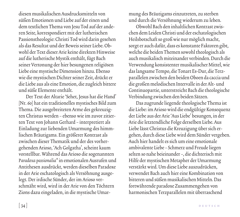diesen musikalischen Ausdrucksmitteln von süßen Emotionen und Liebe auf der einen und dem textlichen Thema von Jesu Tod auf der anderen Seite, korrespondiert mit der lutherischen Passionstheologie: Christi Tod wird darin gesehen als das Resultat und der Beweis seiner Liebe. Obwohl der Text dieser Arie keine direkten Hinweise auf die lutherische Mystik enthält, fügt Bach seiner Vertonung der hier besungenen religiösen Liebe eine mystische Dimension hinzu. Ebenso wie die mystischen Dichter seiner Zeit, drückt er die Liebe aus als eine Emotion, die zugleich bittere und süße Elemente enthält.

Der Text der Altarie 'Sehet, Jesus hat die Hand' [Nr. 60] hat ein traditionelles mystisches Bild zum Thema. Die ausgebreiteten Arme des gekreuzigten Christus werden – ebenso wie im zuvor zitierten Text von Johann Gerhard – interpretiert als Einladung zur liebenden Umarmung des himmlischen Bräutigams. Ein größerer Kontrast als zwischen dieser Thematik und der des vorhergehenden Arioso, 'Ach Golgatha', scheint kaum vorstellbar. Während das Arioso die sogenannten Paradoxa passionalia\*in emotionalen Ausrufen und Antithesen ausdrückt, werden dieselben Paradoxe in der Arie eschatologisch als Versöhnung ausgelegt. Der irdische Sünder, der im Arioso verschmäht wird, wird in der Arie von den Töchtern Zions dazu eingeladen, in die mystische Umarmung des Bräutigams einzutreten, zu sterben und durch die Versöhnung wiederum zu leben.

Obwohl Bach den inhaltlichen Kontrast zwischen dem Leiden Christi und der eschatologischen Heilsbotschaft so groß wie nur möglich macht, sorgt er auch dafür, dass es konstante Faktoren gibt, welche die beiden Themen sowohl theologisch als auch musikalisch miteinander verbinden. Durch die Verwendung konsistenter musikalischer Mittel, wie das langsame Tempo, die Tonart Es-Dur, die Terzparallelen zwischen den beiden Oboen da caccia und die großen melodischen Intervalle in der Alt- und Continuopartie, unterstreicht Bach die theologische Verbindung zwischen den beiden Sätzen.

Das zugrunde liegende theologische Thema ist die Liebe: im Arioso wird die endgültige Konsequenz der Liebe aus der Arie 'Aus Liebe' besungen, in der Arie die letztendliche Folge derselben Liebe. Aus Liebe lässt Christus die Kreuzigung über sich ergehen, durch diese Liebe wird dem Sünder vergeben. Auch hier handelt es sich um eine emotionale ambivalente Liebe – Schmerz und Freude liegen selten so nahe beieinander –, die dichterisch mit Hilfe der mystischen Metapher der Umarmung verstärkt wird. Um diese Liebe auszudrücken, verwendet Bach auch hier eine Kombination von bitteren und süßen musikalischen Mitteln. Das fortwährende paradoxe Zusammengehen von harmonischen Terzparallelen mit überraschend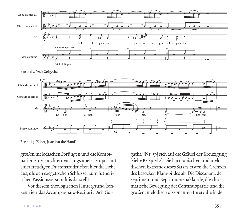





Beispiel 3: 'Sehet, Jesus hat die Hand'

großen melodischen Sprüngen und die Kombination eines nüchternen, langsamen Tempos mit einer freudigen Durtonart drücken hier die Liebe aus, die den exegetischen Schlüssel zum lutherischen Passionsverständnis darstellt.

Vor diesem theologischen Hintergrund konzentriert das Accompagnato-Rezitativ 'Ach Golgatha' [Nr. 59] sich auf die Gräuel der Kreuzigung (siehe Beispiel 2). Die harmonischen und melodischen Extreme dieses Satzes tasten die Grenzen des barocken Klangbildes ab. Die Dissonanz der Septimen- und Septimnonenakkorde, die chromatische Bewegung der Continuopartie und die großen, melodisch dissonanten Intervalle in der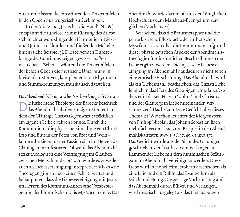Altstimme lassen die fortwährenden Terzparallelen in den Oboen nur trügerisch süß erklingen.

In der Arie 'Sehet, Jesus hat die Hand' [Nr. 60] entspannt die ruhelose Stimmführung des Arioso sich in einer wohlklingenden Harmonie mit Sextund Quintsextakkorden und fließenden Melodielinien (siehe Beispiel 3). Die steigenden Durdreiklänge des Continuos zeigen gewissermaßen nach oben – 'Sehet' –, während die Terzparallelen der beiden Oboen die mystische Umarmung in kreisenden Motiven, komplementären Rhythmen und Stimmkreuzungen musikalisch darstellen.

Das Abendmahl: die mystische Verschmelzung mit Christus Die lutherische Theologie des Barocks beschrieb das Abendmahl als den einzigen Moment, in dem der Gläubige Christi Gegenwart tatsächlich am eigenen Leibe erfahren konnte. Durch die Kommunion – die physische Einnahme von Christi Leib und Blut in der Form von Brot und Wein –, konnte die Liebe aus der Passion sich im Herzen des Gläubigen manifestieren. Obwohl das Abendmahl strikt theologisch eine Vereinigung im Glauben zwischen Mensch und Gott war, wurde es zuweilen auch als Liebesvereinigung interpretiert. Mystische Theologen gingen noch einen Schritt weiter und behaupteten, dass die Liebesvereinigung mit Jesus im Herzen des Kommunikanten eine Vorabspiegelung der himmlischen Unio Mystica darstelle. Das Abendmahl wurde darum oft mit der königlichen Hochzeit aus dem Matthäus-Evangelium verglichen (Mathäus 22).

Wir sehen, dass die Brautmetapher und die petrarkistische Bildsprache der lutherischen Mystik in Texten über die Kommunion aufgrund dieser physiologischen Aspekte der Abendmahlstheologie oft mit sinnlichen Beschreibungen der Liebe ergänzt werden. Die mystische Liebesvereinigung im Abendmahl hat dadurch nicht selten eine erotische Erscheinung. Das Abendmahl wird als ein 'Liebesmahl' beschrieben, das Christi Liebe leiblich in das Herz des Gläubigen 'einpflanzt', so dass er in dessen Herzen 'wohnt' und Christus und der Gläubige in Liebe miteinander 'verschmelzen'. Das bekannteste Gedicht über dieses Thema ist 'Wie schön leuchtet der Morgenstern' von Philipp Nicolai, das Johann Sebastian Bach mehrfach vertont hat, zum Beispiel in den Abendmahlskantaten bwv 1, 36, 37, 49, 61 und 172. Das Gedicht wurde aus der Sicht des Gläubigen geschrieben, der krank ist vom Verlangen, in flammender Liebe mit dem himmlischen Bräutigam im Abendmahl vereinigt zu werden. Diese Liebe wird in Hoheliedmetaphern beschrieben als eine Lilie und ein Rubin, das Evangelium als Milch und Honig. Die geistige Vorbereitung auf das Abendmahl durch Büßen und Verlangen, wird mystisch ausgelegt als das Herausputzen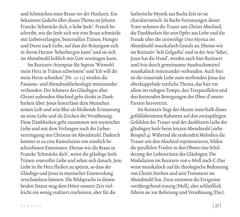und Schmücken einer Braut vor der Hochzeit. Ein bekanntes Gedicht über dieses Thema ist Johann Francks 'Schmücke dich, o liebe Seele'. Franck beschreibt, wie die Seele sich wie eine Braut schmückt mit Liebesverlangen, bittersüßen Tränen, Hunger und Durst nach Liebe, auf dass der Bräutigam sich in ihrem Herzen 'beherbergen kann' und sie sich im Abendmahl leiblich mit Gott vereinigen kann.

Im Rezitativ-Arienpaar für Sopran 'Wiewohl mein Herz in Tränen schwimmt' und 'Ich will dir mein Herze schenken' [Nr. 12-13] werden die Passions- und Abendmahlstheologie miteinander verbunden. Der Schmerz des Gläubigen über Christi nahenden Abschied geht direkt in Dankbarkeit über: Jesus hinterlässt dem Menschen seinen Leib und sein Blut als bleibende Erinnerung an seine Liebe und als Zeichen der Versöhnung. Diese Dankbarkeit geht zusammen mit mystischer Liebe und mit dem Verlangen nach der Liebesvereinigung mit Christus im Abendmahl. Dadurch kommt es zu eine Kumulation von sinnlich beschriebenen Emotionen. Ebenso wie die Braut in Francks 'Schmücke dich', weint die gläubige Seele Tränen reuevoller Liebe und sehnt sich danach, Jesu Liebe in ihr Herz fließen zu spüren, so dass der Gläubige und Jesus in mystischer Einswerdung verschmelzen können. Die Bildsprache in diesen beiden Sätzen mag dem Hörer unserer Zeit vielleicht ein wenig exaltiert erscheinen, aber für die

lutherische Mystik aus Bachs Zeit ist sie charakteristisch. In Bachs Vertonungen dieser Texte nehmen die Trauer um Christi Abschied, die Dankbarkeit für sein Opfer aus Liebe und die Freude über die zeitweilige Unio Mysticaim Abendmahl musikalisch Gestalt an. Ebenso wie im Rezitativ 'Ach Golgatha' und in der Arie 'Sehet, Jesus hat die Hand', werden auch hier Rezitativ und Arie durch gemeinsame Ausdrucksmittel musikalisch miteinander verbunden. Auch hier ist die trauernde Liebe zum sterbenden Jesus das überkuppelnde textliche Thema, das hier vor allem im ruhigen Tempo, den Terzparallelen und den kreisenden Bewegungen der Oboe-d'amore-Partien hervortritt.

Im Rezitativ liegt der Akzent innerhalb dieses gefühlsbetonten Rahmens auf den zwiespältigen Gefühlen der Trauer und der dankbaren Liebe der gläubigen Seele beim letzten Abendmahl (siehe Beispiel 4). Während die sinkenden Melodien die Trauer um den Abschied repräsentieren, bilden die parallelen Triolen in den Oboen eine Schilderung der Liebestränen des Gläubigen. Die Modulation im Rezitativ von e-Moll nach C-Dur weist musikalisch auf die theologische Bedeutung von Christi Sterben und sein Testament im Abendmahl hin. Zwar stimmen die Ereignisse vorübergehend traurig (Moll), aber schließlich führen sie zur Befreiung und Versöhnung (Dur).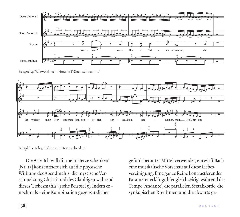

Beispiel 4: 'Wiewohl mein Herz in Tränen schwimmt'



Beispiel 5: Ich will dir mein Herze schenken'

Die Arie 'Ich will dir mein Herze schenken' [Nr. 13] konzentriert sich auf die physische Wirkung des Abendmahls, die mystische Verschmelzung Christi und des Gläubigen während dieses 'Liebesmahls' (siehe Beispiel 5). Indem er – nochmals – eine Kombination gegensätzlicher

gefühlsbetonter Mittel verwendet, entwirft Bach eine musikalische Vorschau auf diese Liebesvereinigung. Eine ganze Reihe kontrastierender Parameter erklingt hier gleichzeitig: während das Tempo 'Andante', die parallelen Sextakkorde, die synkopischen Rhythmen und die abwärts ge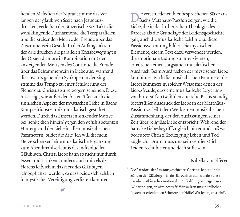henden Melodien der Sopranstimme das Verlangen der gläubigen Seele nach Jesus ausdrücken, verleihen der tänzerische 6/8-Takt, die wohlklingende Durharmonie, die Terzparallelen und die kreisenden Motive der Freude über das Zusammensein Gestalt. In den Anfangstakten der Arie drücken die parallelen Kreisbewegungen der Oboen d'amore in Kombination mit den ansteigenden Motiven des Continuo die Freude über das Beisammensein in Liebe aus, während die abwärts gehenden Synkopen in der Singstimme das Tempo zu einer Schilderung des Flehens zu Christus zu verzögern scheinen. Diese Arie zeigt, wie außer den bittersüßen auch die sinnlichen Aspekte der mystischen Liebe in Bachs Kompositionstechnik musikalisch gestaltet werden. Durch das Einsetzen sinkender Motive bei 'senke dich hinein' gegen den gefühlsbetonten Hintergrund der Liebe in allen musikalischen Parametern, bildet die Arie 'Ich will dir mein Herze schenken' eine musikalische Ergänzung zum Abendmahlserlebnis des individuellen Gläubigen. Christi Liebe kann so nicht nur durch Essen und Trinken, sondern auch mittels des Hörens leiblich in das Herz des Gläubigen 'eingepflanzt' werden, so dass beide sich zeitlich in mystischer Vereinigung verlieren konnten.

N

Die verschiedenen hier besprochenen Sätze aus Bachs Matthäus-Passion zeigen, wie die Liebe, die in der lutherischen Theologie des Barocks als die Grundlage der Leidensgeschichte galt, auch die musikalische Leitlinie zu dieser Passionsvertonung bildet. Die mystischen Elemente, die im Text dazu verwendet werden, die emotionale Ladung zu intensivieren, erhaltenen einen sorgsamen musikalischen Ausdruck. Beim Ausdrücken der mystischen Liebe kombiniert Bach die musikalischen Parameter des Liebeskummers in solcher Weise mit denen der Liebesfreude, dass eine musikalische Legierung von bittersüßen Gefühlen entsteht. Bachs ständig bittersüßer Ausdruck der Liebe in der Matthäus-Passion verleiht dem Werk einen musikalischen Zusammenhang, der den Auffassungen seiner Zeit über religiöse Liebe entspricht. Während der barocke Liebesbegriff zugleich bitter und süß war, bedeutete Christi Kreuzigung Leben und Tod zugleich: 'Drum muss uns sein verdienstlich Leiden recht bitter und doch süße sein'.

# Isabella van Elferen

Die Paradoxe der Passionsgeschichte: Christus leidet für die Sünden der Gläubigen. In der Barockliteratur wurden diese Paradoxe oft in sehr emotionalen Aufzählungen ausgedrückt: 'Wir sündigen, er wird bestraft! Wir wälzen uns in irdischen Lüsten, er erleidet den Schmerz der Hölle! Wir leben, er stirbt!'.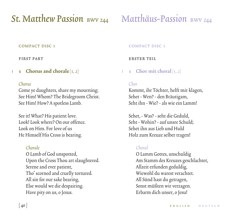# St. Matthew Passion BWV 244 Matthäus-Passion BWV 244

#### compact disc 1

first part

1 1 Chorus and chorale  $(1, 2)$ 

#### Chorus

Come ye daughters, share my mourning; See Him! Whom? The Bridegroom Christ. See Him! How? A spotless Lamb.

See it! What? His patient love. Look! Look where? On our offence. Look on Him. For love of us He Himself His Cross is bearing.

# Chorale

O Lamb of God unspotted, Upon the Cross Thou art slaughtered. Serene and ever patient, Tho' scorned and cruelly tortured. All sin for our sake bearing, Else would we die despairing. Have pity on us, o Jesus.

#### compact disc 1

#### erster teil

1 1 Chor mit choral  $(1, 2)$ 

#### Chor

Kommt, ihr Töchter, helft mir klagen, Sehet - Wen? - den Bräutigam, Seht ihn - Wie? - als wie ein Lamm!

Sehet, - Was? - seht die Geduld, Seht - Wohin? - auf unsre Schuld; Sehet ihn aus Lieb und Huld Holz zum Kreuze selber tragen!

#### Choral

O Lamm Gottes, unschuldig Am Stamm des Kreuzes geschlachtet, Allzeit erfunden geduldig, Wiewohl du warest verachtet. All Sünd hast du getragen, Sonst müßten wir verzagen. Erbarm dich unser, o Jesu!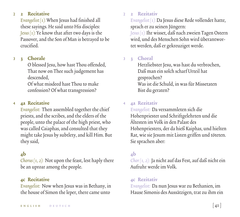<sup>2</sup> 2 Recitative

Evangelist  $(1)$ : When Jesus had finished all these sayings. He said unto His disciples: Jesus (1): Ye know that after two days is the Passover, and the Son of Man is betrayed to be crucified.

# <sup>3</sup> 3 Chorale

O blessed Jesu, how hast Thou offended, That now on Thee such judgement has descended,

Of what misdeed hast Thou to make confession? Of what transgression?

# <sup>4</sup> 4a Recitative

Evangelist: Then assembled together the chief priests, and the scribes, and the elders of the people, unto the palace of the high priest, who was called Caiaphas, and consulted that they might take Jesus by subtlety, and kill Him. But they said,

# 4b

Chorus  $(1, 2)$ : Not upon the feast, lest haply there be an uproar among the people.

#### 4c Recitative

Evangelist: Now when Jesus was in Bethany, in the house of Simon the leper, there came unto

<sup>2</sup> 2 Rezitativ

Evangelist (1): Da Jesus diese Rede vollendet hatte, sprach er zu seinen Jüngern: Jesus (1): Ihr wisset, daß nach zweien Tagen Ostern wird, und des Menschen Sohn wird überantwortet werden, daß er gekreuziget werde.

# <sup>3</sup> 3 Choral

Herzliebster Jesu, was hast du verbrochen, Daß man ein solch scharf Urteil hat gesprochen? Was ist die Schuld, in was für Missetaten Bist du geraten?

# <sup>4</sup> 4a Rezitativ

Evangelist: Da versammleten sich die Hohenpriester und Schriftgelehrten und die Ältesten im Volk in den Palast des Hohenpriesters, der da hieß Kaiphas, und hielten Rat, wie sie Jesum mit Listen griffen und töteten. Sie sprachen aber:

# 4b

Chor (1, 2): Ja nicht auf das Fest, auf daß nicht ein Aufruhr werde im Volk.

# 4c Rezitativ

Evangelist: Da nun Jesus war zu Bethanien, im Hause Simonis des Aussätzigen, trat zu ihm ein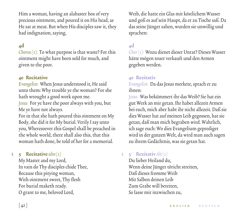Him a woman, having an alabaster box of very precious ointment, and poured it on His head, as He sat at meat. But when His disciples saw it, they had indignation, saying,

# 4d

Chorus (1): To what purpose is that waste? For this ointment might have been sold for much, and given to the poor.

# 4e Recitative

Evangelist: When Jesus understood it, He said unto them: Why trouble ye the woman? For she hath wrought a good work upon me. Jesus: For ye have the poor always with you, but

Me ye have not always. For in that she hath poured this ointment on My

Body, she did it for My burial. Verily I say unto you, Wheresoever this Gospel shall be preached in the whole world, there shall also this, that this woman hath done, be told of her for a memorial.

# 5 5 Recitative alto  $(1)$

My Master and my Lord, In vain do Thy disciples chide Thee, Because this pitying woman, With ointment sweet, Thy flesh For burial maketh ready. O grant to me, beloved Lord,

Weib, die hatte ein Glas mit köstlichem Wasser und goß es auf sein Haupt, da er zu Tische saß. Da das seine Jünger sahen, wurden sie unwillig und sprachen:

# 4d

Chor (1): Wozu dienet dieser Unrat? Dieses Wasser hätte mögen teuer verkauft und den Armen gegeben werden.

#### 4e Rezitativ

Evangelist: Da das Jesus merkete, sprach er zu ihnen:

Jesus: Was bekümmert ihr das Weib? Sie hat ein gut Werk an mir getan. Ihr habet allezeit Armen bei euch, mich aber habt ihr nicht allezeit. Daß sie dies Wasser hat auf meinen Leib gegossen, hat sie getan, daß man mich begraben wird. Wahrlich, ich sage euch: Wo dies Evangelium geprediget wird in der ganzen Welt, da wird man auch sagen zu ihrem Gedächtnis, was sie getan hat.

# 5 5 Rezitativ Alt $(1)$

Du lieber Heiland du, Wenn deine Jünger töricht streiten, Daß dieses fromme Weib Mit Salben deinen Leib Zum Grabe will bereiten, So lasse mir inzwischen zu,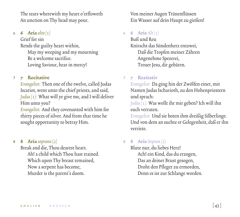The tears wherewith my heart o'erfloweth An unction on Thy head may pour.

#### 6 6 Aria alto  $(1)$

Grief for sin Rends the guilty heart within, May my weeping and my mourning Be a welcome sacrifice. Loving Saviour, hear in mercy!

# <sup>7</sup> 7 Recitative

Evangelist: Then one of the twelve, called Judas Iscariot, went unto the chief priests, and said, Judas (1): What will ye give me, and I will deliver Him unto you?

Evangelist: And they covenanted with him for thirty pieces of silver. And from that time he sought opportunity to betray Him.

# 8 8 Aria soprano  $(z)$

Break and die, Thou dearest heart. Ah! a child which Thou hast trained. Which upon Thy breast remained, Now a serpent has become, Murder is the parent's doom.

Von meiner Augen Tränenflüssen Ein Wasser auf dein Haupt zu gießen!

# 6 6 Arie Alt $(1)$

Buß und Reu Knirscht das Sündenherz entzwei, Daß die Tropfen meiner Zähren Angenehme Spezerei, Treuer Jesu, dir gebären.

# <sup>7</sup> 7 Rezitativ

Evangelist: Da ging hin der Zwölfen einer, mit Namen Judas Ischarioth, zu den Hohenpriestern und sprach:

Judas (1): Was wollt ihr mir geben? Ich will ihn euch verraten.

Evangelist: Und sie boten ihm dreißig Silberlinge. Und von dem an suchte er Gelegenheit, daß er ihn verriete.

#### 8 8 Arie Sopran $(2)$

Blute nur, du liebes Herz! Ach! ein Kind, das du erzogen, Das an deiner Brust gesogen, Droht den Pfleger zu ermorden, Denn es ist zur Schlange worden.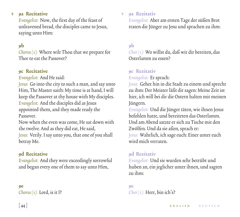<sup>9</sup> 9a Recitative

Evangelist: Now, the first day of the feast of unleavened bread, the disciples came to Jesus, saying unto Him:

# 9b

Chorus (1): Where wilt Thou that we prepare for Thee to eat the Passover?

#### oc Recitative

Evangelist: And He said:

Jesus: Go into the city to such a man, and say unto Him, The Master saith: My time is at hand, I will keep the Passover at thy house with My disciples. Evangelist: And the disciples did as Jesus appointed them, and they made ready the Passover.

Now when the even was come, He sat down with the twelve. And as they did eat, He said, Jesus: Verily. I say unto you, that one of you shall betray Me.

# 9d Recitative

Evangelist: And they were exceedingly sorrowful and began every one of them to say unto Him,

#### 9e Chorus (1): Lord, is it I?

#### <sup>9</sup> 9a Rezitativ

Evangelist: Aber am ersten Tage der süßen Brot traten die Jünger zu Jesu und sprachen zu ihm:

# 9b

Chor (1): Wo willst du, daß wir dir bereiten, das Osterlamm zu essen?

# oc Rezitativ

Evangelist: Er sprach:

Jesus: Gehet hin in die Stadt zu einem und sprecht zu ihm: Der Meister läßt dir sagen: Meine Zeit ist hier, ich will bei dir die Ostern halten mit meinen Jüngern.

Evangelist: Und die Jünger täten, wie ihnen Jesus befohlen hatte, und bereiteten das Osterlamm. Und am Abend satzte er sich zu Tische mit den Zwölfen. Und da sie aßen, sprach er: Jesus: Wahrlich, ich sage euch: Einer unter euch wird mich verraten.

#### 9d Rezitativ

Evangelist: Und sie wurden sehr betrübt und huben an, ein jeglicher unter ihnen, und sagten zu ihm:

9e Chor (1): Herr, bin ich's?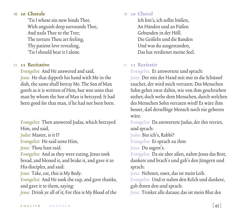# <sup>10</sup> 10 Chorale

'Tis I whose sin now binds Thee. With anguish deep surrounds Thee, And nails Thee to the Tree; The torture Thou art feeling, Thy patient love revealing, 'Tis I should bear it I alone.

# <sup>11</sup> 11 Recitative

Evangelist: And He answered and said, Jesus: He that dippeth his hand with Me in the dish, the same shall betray Me. The Son of Man goeth as it is written of Him; but woe unto that man by whom the Son of Man is betrayed: It had been good for that man, if he had not been born.

Evangelist: Then answered Judas, which betrayed Him, and said,

Judas: Master, is it I?

Evangelist: He said unto Him,

Jesus: Thou hast said.

Evangelist: And as they were eating, Jesus took bread, and blessed it, and brake it, and gave it to His disciples, and said:

Jesus: Take, eat, this is My Body.

Evangelist: And He took the cup, and gave thanks, and gave it to them, saying:

Jesus: Drink ye all of it; For this is My Blood of the

#### <sup>10</sup> 10 Choral

Ich bin's, ich sollte büßen, An Händen und an Füßen Gebunden in der Höll. Die Geißeln und die Banden Und was du ausgestanden, Das hat verdienet meine Seel.

#### <sup>11</sup> 11 Rezitativ

Evangelist: Er antwortete und sprach:

Jesus: Der mit der Hand mit mir in die Schüssel tauchet, der wird mich verraten. Des Menschen Sohn gehet zwar dahin, wie von ihm geschrieben stehet; doch wehe dem Menschen, durch welchen des Menschen Sohn verraten wird! Es wäre ihm besser, daß derselbige Mensch noch nie geboren wäre.

Evangelist: Da antwortete Judas, der ihn verriet, und sprach:

Judas: Bin ich's, Rabbi?

Evangelist: Er sprach zu ihm:

Jesus: Du sagest's.

Evangelist: Da sie aber aßen, nahm Jesus das Brot, dankete und brach's und gab's den Jüngern und sprach:

Jesus: Nehmet, esset, das ist mein Leib.

Evangelist: Und er nahm den Kelch und dankete, gab ihnen den und sprach:

Jesus: Trinket alle daraus; das ist mein Blut des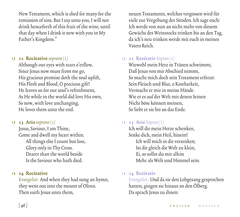New Testament, which is shed for many for the remission of sins. But I say unto you, I will not drink henceforth of this fruit of the wine, until that day when I drink it new with you in My Father's Kingdom."

#### 12 12 Recitative soprano  $(1)$

Although our eyes with tears o'erflow, Since Jesus now must from me go, His gracious promise doth the soul uplift, His Flesh and Blood, O precious gift! He leaves us for our soul's refreshment, As He while in the world did love His own, So now, with love unchanging, He loves them unto the end.

#### 13 13 Aria soprano  $(1)$

Jesus, Saviour, I am Thine, Come and dwell my heart within. All things else I count but loss, Glory only in Thy Cross. Dearer than the world beside Is the Saviour who hath died.

# <sup>14</sup> 14 Recitative

Evangelist: And when they had sung an hymn, they went out into the mount of Olives. Then saith Jesus unto them,

neuen Testaments, welches vergossen wird für viele zur Vergebung der Sünden. Ich sage euch: Ich werde von nun an nicht mehr von diesem Gewächs des Weinstocks trinken bis an den Tag, da ich's neu trinken werde mit euch in meines Vaters Reich.

#### 12 12 Rezitativ Sopran (1)

Wiewohl mein Herz in Tränen schwimmt, Daß Jesus von mir Abschied nimmt, So macht mich doch sein Testament erfreut: Sein Fleisch und Blut, o Kostbarkeit, Vermacht er mir in meine Hände. Wie er es auf der Welt mit denen Seinen Nicht böse können meinen, So liebt er sie bis an das Ende.

#### 13 13 Arie Sopran $(1)$

Ich will dir mein Herze schenken, Senke dich, mein Heil, hinein! Ich will mich in dir versenken; Ist dir gleich die Welt zu klein, Ei, so sollst du mir allein Mehr als Welt und Himmel sein.

#### <sup>14</sup> 14 Rezitativ

Evangelist: Und da sie den Lobgesang gesprochen hatten, gingen sie hinaus an den Ölberg. Da sprach Jesus zu ihnen: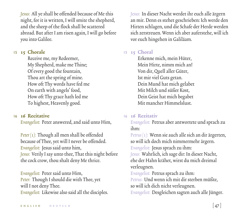Jesus: All ye shall be offended because of Me this night, for it is written, I will smite the shepherd, and the sheep of the flock shall be scattered abroad. But after I am risen again, I will go before you into Galilee.

#### <sup>15</sup> 15 Chorale

Receive me, my Redeemer, My Shepherd, make me Thine; Of every good the fountain, Thou art the spring of mine. How oft Thy words have fed me On earth with angels' food, How oft Thy grace hath led me To highest, Heavenly good.

# <sup>16</sup> 16 Recitative

Evangelist: Peter answered, and said unto Him,

Peter (1): Though all men shall be offended because of Thee, yet will I never be offended. Evangelist: Jesus said unto him, Jesus: Verily I say unto thee, That this night before the cock crow, thou shalt deny Me thrice.

Evangelist: Peter said unto Him, Peter: Though I should die with Thee, yet will I not deny Thee. Evangelist: Likewise also said all the disciples. Jesus: In dieser Nacht werdet ihr euch alle ärgern an mir. Denn es stehet geschrieben: Ich werde den Hirten schlagen, und die Schafe der Herde werden sich zerstreuen. Wenn ich aber auferstehe, will ich vor euch hingehen in Galiläam.

# <sup>15</sup> 15 Choral

Erkenne mich, mein Hüter, Mein Hirte, nimm mich an! Von dir, Quell aller Güter, Ist mir viel Guts getan. Dein Mund hat mich gelabet Mit Milch und süßer Kost, Dein Geist hat mich begabet Mit mancher Himmelslust.

# <sup>16</sup> 16 Rezitativ

Evangelist: Petrus aber antwortete und sprach zu ihm:

Petrus (1): Wenn sie auch alle sich an dir ärgerten, so will ich doch mich nimmermehr ärgern.

Evangelist: Jesus sprach zu ihm:

Jesus: Wahrlich, ich sage dir: In dieser Nacht, ehe der Hahn krähet, wirst du mich dreimal verleugnen.

Evangelist: Petrus sprach zu ihm: Petrus: Und wenn ich mit dir sterben müßte, so will ich dich nicht verleugnen.

Evangelist: Desgleichen sagten auch alle Jünger.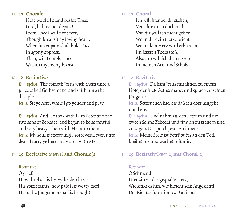# <sup>17</sup> 17 Chorale

Here would I stand beside Thee; Lord, bid me not depart! From Thee I will not sever, Though breaks Thy loving heart. When bitter pain shall hold Thee In agony opprest, Then, will I enfold Thee Within my loving breast.

# <sup>18</sup> 18 Recitative

Evangelist: The cometh Jesus with them unto a place called Gethsemane, and saith unto the disciples:

Jesus: Sit ye here, while I go yonder and pray."

Evangelist: And He took with Him Peter and the two sons of Zebedee, and began to be sorrowful, and very heavy. Then saith He unto them, Jesus: My soul is exceedingly sorrowful, even unto death! tarry ye here and watch with Me.

# 19 19 Recitative tenor  $(1)$  and Chorale  $(2)$

#### Recitative

O grief! How throbs His heavy-loaden breast! His spirit faints, how pale His weary face! He to the Judgement-hall is brought,

# <sup>17</sup> 17 Choral

Ich will hier bei dir stehen; Verachte mich doch nicht! Von dir will ich nicht gehen, Wenn dir dein Herze bricht. Wenn dein Herz wird erblassen Im letzten Todesstoß, Alsdenn will ich dich fassen In meinen Arm und Schoß.

# <sup>18</sup> 18 Rezitativ

Evangelist: Da kam Jesus mit ihnen zu einem Hofe, der hieß Gethsemane, und sprach zu seinen Jüngern:

Jesus: Setzet euch hie, bis daß ich dort hingehe und bete.

Evangelist: Und nahm zu sich Petrum und die zween Söhne Zebedäi und fing an zu trauern und zu zagen. Da sprach Jesus zu ihnen: Jesus: Meine Seele ist betrübt bis an den Tod, bleibet hie und wachet mit mir.

# <sup>19</sup> 19 Rezitativ Tenor (1) mit Choral (2)

#### Rezitativ

O Schmerz! Hier zittert das gequälte Herz: Wie sinkt es hin, wie bleicht sein Angesicht! Der Richter führt ihn vor Gericht.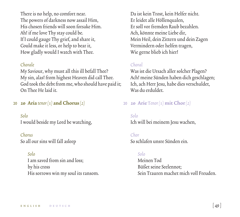There is no help, no comfort near. The powers of darkness now assail Him, His chosen friends will soon forsake Him. Ah! if me love Thy stay could be. If I could gauge Thy grief, and share it, Could make it less, or help to bear it, How gladly would I watch with Thee.

#### Chorale

My Saviour, why must all this ill befall Thee? My sin, alas! from highest Heaven did call Thee. God took the debt from me, who should have paid it; On Thee He laid it.

20 20 Aria tenor  $(1)$  and Chorus  $(2)$ 

Solo I would beside my Lord be watching,

Chorus So all our sins will fall asleep

> Solo I am saved from sin and loss; by his cross His sorrows win my soul its ransom.

Da ist kein Trost, kein Helfer nicht. Er leidet alle Höllenqualen, Er soll vor fremden Raub bezahlen. Ach, könnte meine Liebe dir, Mein Heil, dein Zittern und dein Zagen Vermindern oder helfen tragen, Wie gerne blieb ich hier!

#### Choral

Was ist die Ursach aller solcher Plagen? Ach! meine Sünden haben dich geschlagen; Ich, ach Herr Jesu, habe dies verschuldet, Was du erduldet.

20 20 Arie Tenor  $(1)$  mit Chor $(2)$ 

Solo Ich will bei meinem Jesu wachen,

Chor So schlafen unsre Sünden ein.

#### Solo

Meinen Tod Büßet seine Seelennot; Sein Trauren machet mich voll Freuden.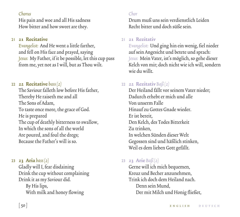#### Chorus

His pain and woe and all His sadness How bitter and how sweet are they.

# <sup>21</sup> 21 Recitative

Evangelist: And He went a little farther, and fell on His face and prayed, saying Jesus: My Father, if it be possible, let this cup pass from me, yet not as I will, but as Thou wilt.

# 22 22 Recitative bass  $(z)$

The Saviour falleth low before His father, Thereby He raiseth me and all The Sons of Adam, To taste once more, the grace of God. He is prepared The cup of deathly bitterness to swallow, In which the sons of all the world Are poured, and foul the dregs; Because the Father's will is so.

# 23 23 Aria bass  $(2)$

Gladly will I, fear disdaining Drink the cup without complaining Drink it as my Saviour did. By His lips, With milk and honey flowing

#### Chor

Drum muß uns sein verdienstlich Leiden Recht bitter und doch süße sein.

# <sup>21</sup> 21 Rezitativ

Evangelist: Und ging hin ein wenig, fiel nieder auf sein Angesicht und betete und sprach: Jesus: Mein Vater, ist's möglich, so gehe dieser Kelch von mir; doch nicht wie ich will, sondern wie du willt.

# 22 22 Rezitativ Ba $\beta$ (2)

Der Heiland fällt vor seinem Vater nieder; Dadurch erhebt er mich und alle Von unserm Falle Hinauf zu Gottes Gnade wieder. Er ist bereit, Den Kelch, des Todes Bitterkeit Zu trinken, In welchen Sünden dieser Welt Gegossen sind und häßlich stinken, Weil es dem lieben Gott gefällt.

# 23 23 Arie Ba $\beta$ (2)

Gerne will ich mich bequemen, Kreuz und Becher anzunehmen, Trink ich doch dem Heiland nach. Denn sein Mund, Der mit Milch und Honig fließet,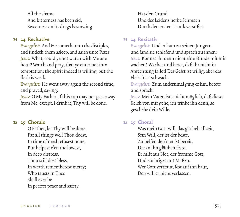All the shame And bitterness has been sid, Sweetness on its dregs bestowing.

#### <sup>24</sup> 24 Recitative

Evangelist: And He cometh unto the disciples, and findeth them asleep, and saith unto Peter: Jesus: What, could ye not watch with Me one hour? Watch and pray, that ye enter not into temptation; the spirit indeed is willing, but the flesh is weak.

Evangelist: He went away again the second time, and prayed, saying:

Jesus: O My Father, if this cup may not pass away from Me, except, I drink it, Thy will be done.

# <sup>25</sup> 25 Chorale

O Father, let Thy will be done, Far all things well Thou doest, In time of need refusest none, But helpest e'en the lowest, In deep distress, Thou still dost bless, In wrath rememberest mercy; Who trusts in Thee Shall ever be In perfect peace and safety.

Hat den Grund Und des Leidens herbe Schmach Durch den ersten Trunk versüßet.

#### <sup>24</sup> 24 Rezitativ

Evangelist: Und er kam zu seinen Jüngern und fand sie schlafend und sprach zu ihnen: Jesus: Könnet ihr denn nicht eine Stunde mit mir wachen? Wachet und betet, daß ihr nicht in Anfechtung fallet! Der Geist ist willig, aber das Fleisch ist schwach.

Evangelist: Zum andernmal ging er hin, betete und sprach:

Jesus: Mein Vater, ist's nicht möglich, daß dieser Kelch von mir gehe, ich trinke ihn denn, so geschehe dein Wille.

# <sup>25</sup> 25 Choral

Was mein Gott will, das g'scheh allzeit, Sein Will, der ist der beste, Zu helfen den'n er ist bereit, Die an ihn gläuben feste. Er hilft aus Not, der fromme Gott, Und züchtiget mit Maßen. Wer Gott vertraut, fest auf ihn baut, Den will er nicht verlassen.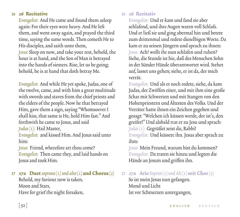# <sup>26</sup> 26 Recitative

Evangelist: And He came and found them asleep again: For their eyes were heavy. And He left them, and went away again, and prayed the third time, saying the same words. Then cometh He to His disciples, and saith unto them, Jesus: Sleep on now, and take your rest, behold, the hour is at hand, and the Son of Man is betrayed

into the hands of sinners. Rise, let us be going; behold, he is at hand that doth betray Me.

Evangelist: And while He yet spoke, Judas, one of the twelve, came, and with him a great multitude with swords and staves from the chief priests and the elders of the people. Now he that betrayed Him, gave them a sign, saying "Whomsoever I shall kiss, that same is He, hold Him fast." And forthwith he came to Jesus, and said Judas (1): Hail Master,

Evangelist: and kissed Him. And Jesus said unto him:

Jesus: Friend, wherefore art thou come? Evangelist: Then came they, and laid hands on Jesus and took Him.

27 27a Duet soprano  $(1)$  und alto  $(1)$  and Chorus  $(2)$ Behold, my Saviour now is taken, Moon and Stars, Have for grief the night forsaken,

#### <sup>26</sup> 26 Rezitativ

Evangelist: Und er kam und fand sie aber schlafend, und ihre Augen waren voll Schlafs. Und er ließ sie und ging abermal hin und betete zum drittenmal und redete dieselbigen Worte. Da kam er zu seinen Jüngern und sprach zu ihnen: Jesus: Ach! wollt ihr nun schlafen und ruhen? Siehe, die Stunde ist hie, daß des Menschen Sohn in der Sünder Hände überantwortet wird. Stehet auf, lasset uns gehen; siehe, er ist da, der mich verrät.

Evangelist: Und als er noch redete, siehe, da kam Judas, der Zwölfen einer, und mit ihm eine große Schar mit Schwerten und mit Stangen von den Hohenpriestern und Ältesten des Volks. Und der Verräter hatte ihnen ein Zeichen gegeben und gesagt: "Welchen ich küssen werde, der ist's, den greifet!" Und alsbald trat er zu Jesu und sprach: Judas (1): Gegrüßet seist du, Rabbi! Evangelist: Und küssete ihn. Jesus aber sprach zu ihm:

Jesus: Mein Freund, warum bist du kommen? Evangelist: Da traten sie hinzu und legten die Hände an Jesum und griffen ihn.

27 27a Arie Sopran  $(1)$  und Alt $(1)$  mit Chor $(2)$ 

So ist mein Jesus nun gefangen. Mond und Licht Ist vor Schmerzen untergangen,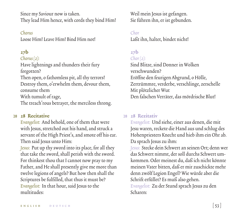Since my Saviour now is taken. They lead Him hence, with cords they bind Him!

#### Chorus

Loose Him! Leave Him! Bind Him not!

# $27<sub>b</sub>$

# Chorus (2):

Have lightnings and thunders their fury forgotten?

Then open, o fathomless pit, all thy terrors! Destroy them, o'erwhelm them, devour them, consume them

With tumult of rage.

The treach'rous betrayer, the merciless throng.

# <sup>28</sup> 28 Recitative

Evangelist: And behold, one of them that were with Jesus, stretched out his hand, and struck a servant of the High Priest's, and smote off his ear. Then said Jesus unto Him:

Jesus: Put up thy sword into its place, for all they that take the sword, shall perish with the sword. For thinkest thou that I cannot now pray to my Father, and He shall presently give me more than twelve legions of angels? But how then shall the Scriptures be fulfilled, that thus it must be? Evangelist: In that hour, said Jesus to the multitudes:

Weil mein Jesus ist gefangen. Sie führen ihn, er ist gebunden.

Chor Laßt ihn, haltet, bindet nicht!

# 27b

# $Chor(2)$ :

Sind Blitze, sind Donner in Wolken verschwunden? Eröffne den feurigen Abgrund, o Hölle, Zertrümmre, verderbe, verschlinge, zerschelle Mit plötzlicher Wut Den falschen Verräter, das mördrische Blut!

# <sup>28</sup> 28 Rezitativ

Evangelist: Und siehe, einer aus denen, die mit Jesu waren, reckete die Hand aus und schlug des Hohenpriesters Knecht und hieb ihm ein Ohr ab. Da sprach Jesus zu ihm:

Jesus: Stecke dein Schwert an seinen Ort; denn wer das Schwert nimmt, der soll durchs Schwert umkommen. Oder meinest du, daß ich nicht könnte meinen Vater bitten, daß er mir zuschickte mehr denn zwölf Legion Engel? Wie würde aber die Schrift erfüllet? Es muß also gehen. Evangelist: Zu der Stund sprach Jesus zu den Scharen: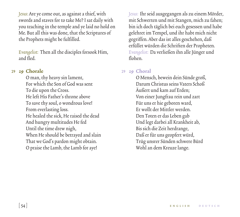Jesus: Are ye come out, as against a thief, with swords and staves for to take Me? I sat daily with you teaching in the temple and ye laid no hold on Me. But all this was done, that the Scriptures of the Prophets might be fulfilled.

Evangelist: Then all the disciples forsook Him, and fled.

#### <sup>29</sup> 29 Chorale

O man, thy heavy sin lament, For which the Son of God was sent To die upon the Cross. He left His Father's throne above To save thy soul, o wondrous love! From everlasting loss. He healed the sick, He raised the dead And hungry multitudes He fed Until the time drew nigh, When He should be betrayed and slain That we God's pardon might obtain. O praise the Lamb, the Lamb for aye!

Jesus: Ihr seid ausgegangen als zu einem Mörder, mit Schwerten und mit Stangen, mich zu fahen; bin ich doch täglich bei euch gesessen und habe gelehret im Tempel, und ihr habt mich nicht gegriffen. Aber das ist alles geschehen, daß erfüllet würden die Schriften der Propheten. Evangelist: Da verließen ihn alle Jünger und flohen.

#### <sup>29</sup> 29 Choral

O Mensch, bewein dein Sünde groß, Darum Christus seins Vaters Schoß Äußert und kam auf Erden; Von einer Jungfrau rein und zart Für uns er hie geboren ward, Er wollt der Mittler werden. Den Toten er das Leben gab Und legt darbei all Krankheit ab, Bis sich die Zeit herdrange, Daß er für uns geopfert würd, Trüg unsrer Sünden schwere Bürd Wohl an dem Kreuze lange.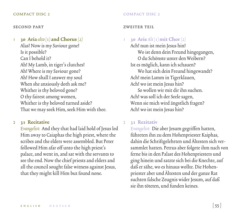#### second part

#### 1 30 Aria alto  $(1)$  and Chorus  $(2)$

Alas! Now is my Saviour gone! Is it possible? Can I behold it? Ah! My Lamb, in tiger's clutches! Ah! Where is my Saviour gone? Ah! How shall I answer my soul When she anxiously doth ask me? Whither is thy beloved gone? O thy fairest among women, Whither is thy beloved turned aside? That we may seek Him, seek Him with thee.

#### <sup>2</sup> 31 Recitative

Evangelist: And they that had laid hold of Jesus led Him away to Caiaphas the high priest, where the scribes and the elders were assembled. But Peter followed Him afar off unto the high priest's palace, and went in, and sat with the servants to see the end. Now the chief priests and elders and all the council sought false witness against Jesus, that they might kill Him but found none.

#### compact disc 2

#### zweiter teil

# 30 Arie Alt $(1)$  mit Chor $(2)$

Ach! nun ist mein Jesus hin! Wo ist denn dein Freund hingegangen, O du Schönste unter den Weibern? Ist es möglich, kann ich schauen? Wo hat sich dein Freund hingewandt? Ach! mein Lamm in Tigerklauen, Ach! wo ist mein Jesus hin? So wollen wir mit dir ihn suchen. Ach! was soll ich der Seele sagen, Wenn sie mich wird ängstlich fragen? Ach! wo ist mein Jesus hin?

#### <sup>2</sup> 31 Rezitativ

Evangelist: Die aber Jesum gegriffen hatten, führeten ihn zu dem Hohenpriester Kaiphas, dahin die Schriftgelehrten und Ältesten sich versammlet hatten. Petrus aber folgete ihm nach von ferne bis in den Palast des Hohenpriesters und ging hinein und satzte sich bei die Knechte, auf daß er sähe, wo es hinaus wollte. Die Hohenpriester aber und Ältesten und der ganze Rat suchten falsche Zeugnis wider Jesum, auf daß sie ihn töteten, und funden keines.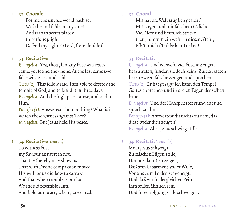# <sup>3</sup> 32 Chorale

For me the untrue world hath set With lie and fable, many a net, And trap in secret places: In parlous plight Defend my right, O Lord, from double faces.

#### <sup>4</sup> 33 Recitative

Evangelist: Yea, though many false witnesses came, yet found they none. At the last came two false witnesses, and said:

Testis (2): This fellow said 'I am able to destroy the temple of God, and to build it in three days. Evangelist: And the high priest arose, and said to Him,

Pontifex  $(1)$ : Answerest Thou nothing? What is it which these witness against Thee? Evangelist: But Jesus held His peace.

# <sup>5</sup> 34 Recitative tenor (2)

To witness false, my Saviour answereth not, That He thereby may show us That with Divine compassion moved His will for us did bow to sorrow, And that when trouble is our lot We should resemble Him, And hold our peace, when persecuted.

# <sup>3</sup> 32 Choral

Mir hat die Welt trüglich gericht' Mit Lügen und mit falschem G'dicht, Viel Netz und heimlich Stricke. Herr, nimm mein wahr in dieser G'fahr, B'hüt mich für falschen Tücken!

# <sup>4</sup> 33 Rezitativ

Evangelist: Und wiewohl viel falsche Zeugen herzutraten, funden sie doch keins. Zuletzt traten herzu zween falsche Zeugen und sprachen: Testis (2): Er hat gesagt: Ich kann den Tempel Gottes abbrechen und in dreien Tagen denselben bauen.

Evangelist: Und der Hohepriester stund auf und sprach zu ihm:

Pontifex (1): Antwortest du nichts zu dem, das diese wider dich zeugen? Evangelist: Aber Jesus schwieg stille.

# <sup>5</sup> 34 Rezitativ Tenor (2)

Mein Jesus schweigt Zu falschen Lügen stille, Um uns damit zu zeigen, Daß sein Erbarmens voller Wille, Vor uns zum Leiden sei geneigt, Und daß wir in dergleichen Pein Ihm sollen ähnlich sein Und in Verfolgung stille schweigen.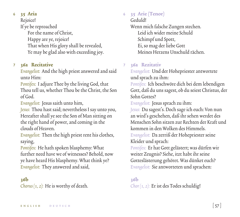<sup>6</sup> 35 Aria

Rejoice! If ye be reproached For the name of Christ, Happy are ye, rejoice! That when His glory shall be revealed, Ye may be glad also with exceeding joy.

# <sup>7</sup> 36a Recitative

Evangelist: And the high priest answered and said unto Him:

Pontifex: I adjure Thee by the living God, that Thou tell us, whether Thou be the Christ, the Son of God.

Evangelist: Jesus saith unto him,

Jesus: Thou hast said; nevertheless I say unto you, Hereafter shall ye see the Son of Man sitting on the right hand of power, and coming in the clouds of Heaven.

Evangelist: Then the high priest rent his clothes, saying,

Pontifex: He hath spoken blasphemy: What further need have we of witnesses? Behold, now ye have heard His blasphemy. What think ye? Evangelist: They answered and said,

# 36b

Chorus  $(1, 2)$ : He is worthy of death.

# <sup>6</sup> 35 Arie (Tenor)

Geduld! Wenn mich falsche Zungen stechen. Leid ich wider meine Schuld Schimpf und Spott, Ei, so mag der liebe Gott Meines Herzens Unschuld rächen.

<sup>7</sup> 36a Rezitativ

Evangelist: Und der Hohepriester antwortete und sprach zu ihm:

Pontifex: Ich beschwöre dich bei dem lebendigen Gott, daß du uns sagest, ob du seiest Christus, der Sohn Gottes?

Evangelist: Jesus sprach zu ihm:

Jesus: Du sagest's. Doch sage ich euch: Von nun an wird's geschehen, daß ihr sehen werdet des Menschen Sohn sitzen zur Rechten der Kraft und kommen in den Wolken des Himmels. Evangelist: Da zerriß der Hohepriester seine Kleider und sprach:

Pontifex: Er hat Gott gelästert; was dürfen wir weiter Zeugnis? Siehe, itzt habt ihr seine Gotteslästerung gehöret. Was dünket euch? Evangelist: Sie antworteten und sprachen:

#### 36b

Chor (1, 2): Er ist des Todes schuldig!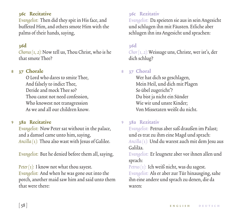#### 36c Recitative

Evangelist: Then did they spit in His face, and buffeted Him, and others smote Him with the palms of their hands, saying,

#### 36d

Chorus (1, 2): Now tell us, Thou Christ, who is he that smote Thee?

# <sup>8</sup> 37 Chorale

O Lord who dares to smite Thee, And falsely to indict Thee, Deride and mock Thee so? Thou canst not need confession, Who knowest not transgression As we and all our children know.

# <sup>9</sup> 38a Recitative

Evangelist: Now Peter sat without in the palace, and a damsel came unto him, saying, Ancilla (1): Thou also wast with Jesus of Galilee.

Evangelist: But he denied before them all, saying,

Peter  $(1)$ : I know not what thou sayest. Evangelist: And when he was gone out into the porch, another maid saw him and said unto them that were there:

# 36c Rezitativ

Evangelist: Da speieten sie aus in sein Angesicht und schlugen ihn mit Fäusten. Etliche aber schlugen ihn ins Angesicht und sprachen:

#### 36d

Chor (1, 2): Weissage uns, Christe, wer ist's, der dich schlug?

# <sup>8</sup> 37 Choral

Wer hat dich so geschlagen, Mein Heil, und dich mit Plagen So übel zugericht'? Du bist ja nicht ein Sünder Wie wir und unsre Kinder; Von Missetaten weißt du nicht.

#### <sup>9</sup> 38a Rezitativ

Evangelist: Petrus aber saß draußen im Palast; und es trat zu ihm eine Magd und sprach: Ancilla (1): Und du warest auch mit dem Jesu aus Galiläa.

Evangelist: Er leugnete aber vor ihnen allen und sprach:

Petrus (1): Ich weiß nicht, was du sagest. Evangelist: Als er aber zur Tür hinausging, sahe ihn eine andere und sprach zu denen, die da waren: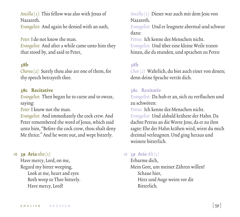Ancilla  $(1)$ : This fellow was also with Jesus of Nazareth.

Evangelist: And again he denied with an oath,

Peter: I do not know the man. Evangelist: And after a while came unto him they that stood by, and said to Peter,

#### 38b

Chorus (2): Surely thou also are one of them, for thy speech betrayeth thee.

#### 38c Recitative

Evangelist: Then began he to curse and to swear, saying:

Peter: I know not the man.

Evangelist: And immediately the cock crew. And Peter remembered the word of Jesus, which said unto him, "Before the cock crow, thou shalt deny Me thrice." And he went out, and wept bitterly.

#### 10 39 Aria alto $(1)$

Have mercy, Lord, on me, Regard my bitter weeping, Look at me, heart and eyes Both weep to Thee bitterly. Have mercy, Lord!

Ancilla (1): Dieser war auch mit dem Jesu von Nazareth.

Evangelist: Und er leugnete abermal und schwur dazu:

Petrus: Ich kenne des Menschen nicht. Evangelist: Und über eine kleine Weile traten hinzu, die da stunden, und sprachen zu Petro:

#### 38b

Chor (2): Wahrlich, du bist auch einer von denen; denn deine Sprache verrät dich.

#### 38c Rezitativ

Evangelist: Da hub er an, sich zu verfluchen und zu schwören:

Petrus: Ich kenne des Menschen nicht. Evangelist: Und alsbald krähete der Hahn. Da dachte Petrus an die Worte Jesu, da er zu ihm sagte: Ehe der Hahn krähen wird, wirst du mich dreimal verleugnen. Und ging heraus und weinete bitterlich.

#### $10$  39 Arie Alt $(1)$

Erbarme dich,

Mein Gott, um meiner Zähren willen! Schaue hier, Herz und Auge weint vor dir Bitterlich.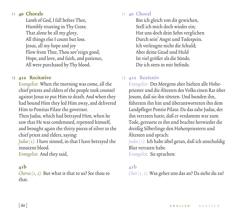# <sup>11</sup> 40 Chorale

Lamb of God, I fall before Thee, Humbly trusting in Thy Cross; That alone be all my glory, All things else I count but loss. Jesus, all my hope and joy Flow from Thee, Thou sov'reign good, Hope, and love, and faith, and patience, All were purchased by Thy blood.

# <sup>12</sup> 41a Recitative

Evangelist: When the morning was come, all the chief priests and elders of the people took counsel against Jesus to put Him to death. And when they had bound Him they led Him away, and delivered Him to Pontius Pilate the governor. Then Judas, which had betrayed Him, when he saw that He was condemned, repented himself, and brought again the thirty pieces of silver to the chief priest and elders, saying:

Judas (1): I have sinned, in that I have betrayed the innocent blood.

Evangelist: And they said,

# 41b

Chorus (1, 2): But what is that to us? See thou to that.

#### <sup>11</sup> 40 Choral

Bin ich gleich von dir gewichen, Stell ich mich doch wieder ein; Hat uns doch dein Sohn verglichen Durch sein' Angst und Todespein. Ich verleugne nicht die Schuld; Aber deine Gnad und Huld Ist viel größer als die Sünde, Die ich stets in mir befinde.

# <sup>12</sup> 41a Rezitativ

Evangelist: Des Morgens aber hielten alle Hohepriester und die Ältesten des Volks einen Rat über Jesum, daß sie ihn töteten. Und bunden ihn, führeten ihn hin und überantworteten ihn dem Landpfleger Pontio Pilato. Da das sahe Judas, der ihn verraten hatte, daß er verdammt war zum Tode, gereuete es ihn und brachte herwieder die dreißig Silberlinge den Hohenpriestern und Ältesten und sprach: Judas (1): Ich habe übel getan, daß ich unschuldig Blut verraten habe. Evangelist: Sie sprachen:

# 41b

Chor (1, 2): Was gehet uns das an? Da siehe du zu!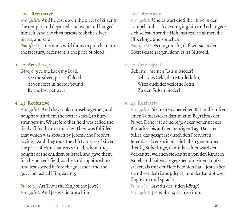# 41c Recitative

Evangelist: And he cast down the pieces of silver in the temple, and departed, and went and hanged himself. And the chief priests took the silver pieces, and said,

Pontifex  $(1)$ : It is not lawful for us to put them into the treasury, because it is the price of blood.

#### 13 42 Aria Bass $(2)$

Give, o give me back my Lord, See the silver, price of blood, At your feet in horror pour'd By the lost betrayer.

#### <sup>14</sup> 43 Recitative

Evangelist: And they took counsel together, and bought with them the potter's field, to bury strangers in; Wherefore that field was called the field of blood, unto this day. Then was fulfilled that which was spoken by Jeremy the Prophet, saying, "And they took the thirty pieces of silver, the price of Him that was valued, whom they bought of the children of Israel, and gave them for the potter's field, as the Lord appointed me." And Jesus stood before the governor, and the governor asked Him, saying,

Pilate (1): Art Thou the King of the Jews? Evangelist: And Jesus said unto him:

# 41c Rezitativ

Evangelist: Und er warf die Silberlinge in den Tempel, hub sich davon, ging hin und erhängete sich selbst. Aber die Hohenpriester nahmen die Silberlinge und sprachen: Pontifex (1): Es taugt nicht, daß wir sie in den Gotteskasten legen, denn es ist Blutgeld.

# 13 42 Arie  $Ba\beta(2)$

Gebt mir meinen Jesum wieder! Seht, das Geld, den Mörderlohn, Wirft euch der verlorne Sohn Zu den Füßen nieder!

# <sup>14</sup> 43 Rezitativ

Evangelist: Sie hielten aber einen Rat und kauften einen Töpfersacker darum zum Begräbnis der Pilger. Daher ist derselbige Acker genennet der Blutacker bis auf den heutigen Tag. Da ist erfüllet, das gesagt ist durch den Propheten Jeremias, da er spricht: "Sie haben genommen dreißig Silberlinge, damit bezahlet ward der Verkaufte, welchen sie kauften von den Kindern Israel, und haben sie gegeben um einen Töpfersacker, als mir der Herr befohlen hat." Jesus aber stund vor dem Landpfleger; und der Landpfleger fragte ihn und sprach: Pilatus (1): Bist du der Jüden König? Evangelist: Jesus aber sprach zu ihm: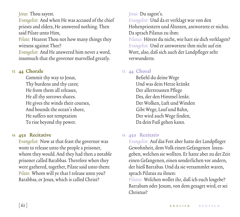Jesus: Thou sayest.

Evangelist: And when He was accused of the chief priests and elders, He answered nothing. Then said Pilate unto Him,

Pilate: Hearest Thou not how many things they witness against Thee?

Evangelist: And He answered him never a word, insomuch that the governor marvelled greatly.

# <sup>15</sup> 44 Chorale

Commit thy way to Jesus, Thy burdens and thy cares; He from them all releases, He all thy sorrows shares. He gives the winds their courses, And bounds the ocean's shore, He suffers not temptation To rise beyond thy power.

#### <sup>16</sup> 45a Recitative

Evangelist: Now at that feast the governor was wont to release unto the people a prisoner, whom they would. And they had then a notable prisoner called Barabbas. Therefore when they were gathered, together, Pilate said unto them: Pilate: Whom will ye that I release unto you? Barabbas, or Jesus, which is called Christ?

Jesus: Du sagest's.

Evangelist: Und da er verklagt war von den Hohenpriestern und Ältesten, antwortete er nichts. Da sprach Pilatus zu ihm:

Pilatus: Hörest du nicht, wie hart sie dich verklagen? Evangelist: Und er antwortete ihm nicht auf ein Wort, also, daß sich auch der Landpfleger sehr verwunderte.

# <sup>15</sup> 44 Choral

Befiehl du deine Wege Und was dein Herze kränkt Der allertreusten Pflege Des, der den Himmel lenkt. Der Wolken, Luft und Winden Gibt Wege, Lauf und Bahn, Der wird auch Wege finden, Da dein Fuß gehen kann.

# <sup>16</sup> 45a Rezitativ

Evangelist: Auf das Fest aber hatte der Landpfleger Gewohnheit, dem Volk einen Gefangenen loszugeben, welchen sie wollten. Er hatte aber zu der Zeit einen Gefangenen, einen sonderlichen vor andern, der hieß Barrabas. Und da sie versammlet waren, sprach Pilatus zu ihnen:

Pilatus: Welchen wollet ihr, daß ich euch losgebe? Barrabam oder Jesum, von dem gesaget wird, er sei Christus?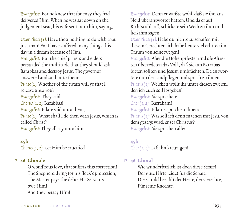Evangelist: For he knew that for envy they had delivered Him. When he was sat down on the judgement seat, his wife sent unto him, saying,

Uxor Pilati (1): Have thou nothing to do with that just man! For I have suffered many things this day in a dream because of Him. Evangelist: But the chief priests and elders persuaded the multitude that they should ask Barabbas and destroy Jesus. The governor answered and said unto them: Pilate  $(1)$ : Whether of the twain will ye that I release unto you? Evangelist: They said: Chorus (1, 2): Barabbas! Evangelist: Pilate said unto them, Pilate (1): What shall I do then with Jesus, which is called Christ? Evangelist: They all say unto him:

# $45<sub>b</sub>$

Chorus  $(1, 2)$ : Let Him be crucified.

#### <sup>17</sup> 46 Chorale

O wond'rous love, that suffers this correction! The Shepherd dying for his flock's protection, The Master pays the debts His Servants owe Him! And they betray Him!

Evangelist: Denn er wußte wohl, daß sie ihn aus Neid überantwortet hatten. Und da er auf Richtstuhl saß, schickete sein Weib zu ihm und ließ ihm sagen:

Uxor Pilati (1): Habe du nichts zu schaffen mit diesem Gerechten; ich habe heute viel erlitten im Traum von seinetwegen!

Evangelist: Aber die Hohenpriester und die Ältesten überredeten das Volk, daß sie um Barrabas bitten sollten und Jesum umbrächten. Da antwortete nun der Landpfleger und sprach zu ihnen: Pilatus (1): Welchen wollt ihr unter diesen zweien, den ich euch soll losgeben? Evangelist: Sie sprachen: Chor (1, 2): Barrabam! Evangelist: Pilatus sprach zu ihnen: Pilatus (1): Was soll ich denn machen mit Jesu, von dem gesagt wird, er sei Christus? Evangelist: Sie sprachen alle:

 $45b$ Chor  $(1, 2)$ : Laß ihn kreuzigen!

#### <sup>17</sup> 46 Choral

Wie wunderbarlich ist doch diese Strafe! Der gute Hirte leidet für die Schafe, Die Schuld bezahlt der Herre, der Gerechte, Für seine Knechte.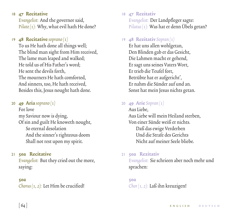#### <sup>18</sup> 47 Recitative

Evangelist: And the governor said, Pilate (1): Why, what evil hath He done?

# <sup>19</sup> 48 Recitative soprano (1)

To us He hath done all things well; The blind man sight from Him received, The lame man leaped and walked; He told us of His Father's word; He sent the devils forth, The mourners He hath comforted, And sinners, too, He hath received, Besides this, Jesus nought hath done.

# 20 49 Aria soprano  $(1)$

For love my Saviour now is dying, Of sin and guilt He knoweth nought, So eternal desolation And the sinner's righteous doom Shall not rest upon my spirit.

# <sup>21</sup> 50a Recitative

Evangelist: But they cried out the more, saying:

#### 50a

Chorus (1, 2): Let Him be crucified!

### <sup>18</sup> 47 Rezitativ Evangelist: Der Landpfleger sagte:

Pilatus (1): Was hat er denn Übels getan?

### <sup>19</sup> 48 Rezitativ Sopran (1)

Er hat uns allen wohlgetan, Den Blinden gab er das Gesicht, Die Lahmen macht er gehend, Er sagt uns seines Vaters Wort, Er trieb die Teufel fort, Betrübte hat er aufgericht', Er nahm die Sünder auf und an. Sonst hat mein Jesus nichts getan.

# 20 49 Arie Sopran $(1)$

Aus Liebe, Aus Liebe will mein Heiland sterben, Von einer Sünde weiß er nichts. Daß das ewige Verderben Und die Strafe des Gerichts Nicht auf meiner Seele bliebe.

#### <sup>21</sup> 50a Rezitativ

Evangelist: Sie schrieen aber noch mehr und sprachen:

#### 50a Chor  $(1, 2)$ : Laß ihn kreuzigen!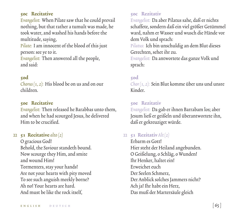# 50c Recitative

Evangelist: When Pilate saw that he could prevail nothing, but that rather a tumult was made, he took water, and washed his hands before the multitude, saying,

Pilate: I am innocent of the blood of this just person: see ye to it.

Evangelist: Then answered all the people, and said:

# 50d

Chorus  $(1, 2)$ : His blood be on us and on our children.

# 50e Recitative

Evangelist: Then released he Barabbas unto them, and when he had scourged Jesus, he delivered Him to be crucified.

# 22  $51$  Recitative alto (2)

O gracious God! Behold, the Saviour standeth bound. Now scourge they Him, and smite and wound Him!

Tormenters, stay your hands! Are not your hearts with pity moved To see such anguish meekly borne? Ah no! Your hearts are hard. And must be like the rock itself,

# 50c Rezitativ

Evangelist: Da aber Pilatus sahe, daß er nichts schaffete, sondern daß ein viel größer Getümmel ward, nahm er Wasser und wusch die Hände vor dem Volk und sprach:

Pilatus: Ich bin unschuldig an dem Blut dieses Gerechten, sehet ihr zu.

Evangelist: Da antwortete das ganze Volk und sprach:

# 50d

Chor (1, 2): Sein Blut komme über uns und unsre Kinder.

#### 50e Rezitativ

Evangelist: Da gab er ihnen Barrabam los; aber Jesum ließ er geißeln und überantwortete ihn, daß er gekreuziget würde.

# 22  $51$  Rezitativ Alt(2)

Erbarm es Gott! Hier steht der Heiland angebunden. O Geißelung, o Schläg, o Wunden! Ihr Henker, haltet ein! Erweichet euch Der Seelen Schmerz, Der Anblick solches Jammers nicht? Ach ja! Ihr habt ein Herz, Das muß der Martersäule gleich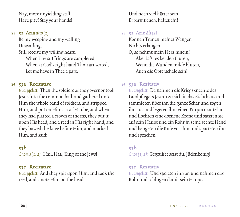Nay, more unyielding still. Have pity! Stay your hands!

# 23  $52$  Aria alto  $(2)$

Be my weeping and my wailing Unavailing, Still receive my willing heart. When Thy suff rings are completed, When at God's right hand Thou art seated, Let me have in Thee a part.

# <sup>24</sup> 53a Recitative

Evangelist: Then the soldiers of the governor took Jesus into the common hall, and gathered unto Him the whole band of soldiers, and stripped Him, and put on Him a scarlet robe, and when they had platted a crown of thorns, they put it upon His head, and a reed in His right hand, and they bowed the knee before Him, and mocked Him, and said:

# 53b

Chorus (1, 2): Hail, Hail, King of the Jews!

# 53c Recitative

Evangelist: And they spit upon Him, and took the reed, and smote Him on the head.

Und noch viel härter sein. Erbarmt euch, haltet ein!

# 23 52 Arie  $Alt(2)$

Können Tränen meiner Wangen Nichts erlangen, O, so nehmt mein Herz hinein! Aber laßt es bei den Fluten, Wenn die Wunden milde bluten, Auch die Opferschale sein!

# <sup>24</sup> 53a Rezitativ

Evangelist: Da nahmen die Kriegsknechte des Landpflegers Jesum zu sich in das Richthaus und sammleten über ihn die ganze Schar und zogen ihn aus und legeten ihm einen Purpurmantel an und flochten eine dornene Krone und satzten sie auf sein Haupt und ein Rohr in seine rechte Hand und beugeten die Knie vor ihm und spotteten ihn und sprachen:

#### 53b

Chor (1, 2): Gegrüßet seist du, Jüdenkönig!

#### 53c Rezitativ

Evangelist: Und speieten ihn an und nahmen das Rohr und schlugen damit sein Haupt.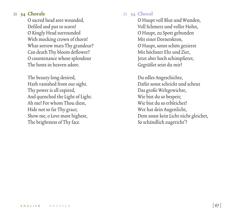# 25 54 Chorale

O sacred head sore wounded, Defiled and put to scorn! O Kingly Head surrounded With mocking crown of thorn! What sorrow mars Thy grandeur? Can death Thy bloom deflower? O countenance whose splendour The hosts in heaven adore.

The beauty long desired, Hath vanished from our sight. Thy power is all expired, And quenched the Light of Light. Ah me! For whom Thou diest, Hide not so far Thy grace; Show me, o Love most highest, The brightness of Thy face.

# 25 54 Choral

O Haupt voll Blut und Wunden, Voll Schmerz und voller Hohn, O Haupt, zu Spott gebunden Mit einer Dornenkron, O Haupt, sonst schön gezieret Mit höchster Ehr und Zier, Jetzt aber hoch schimpfieret, Gegrüßet seist du mir!

Du edles Angeschichte, Dafür sonst schrickt und scheut Das große Weltgewichte, Wie bist du so bespeit; Wie bist du so erbleichet! Wer hat dein Augenlicht, Dem sonst kein Licht nicht gleichet, So schändlich zugericht'?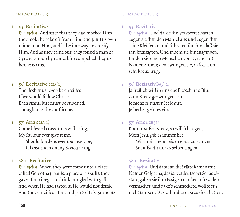#### compact disc 3

#### compact disc 3

#### <sup>1</sup> 55 Recitative

Evangelist: And after that they had mocked Him they took the robe off from Him, and put His own raiment on Him, and led Him away, to crucify Him. And as they came out, they found a man of Cyrene, Simon by name, him compelled they to bear His cross.

# 2 56 Recitative bass  $(1)$

The flesh must even be crucified. If we would follow Christ: Each sinful lust must be subdued, Though sore the conflict be.

# $3\quad 57 \text{ Aria bass}(1)$

Come blessed cross, thus will I sing, My Saviour ever give it me. Should burdens ever too heavy be, I'll cast them on my Saviour King.

# <sup>4</sup> 58a Recitative

Evangelist: When they were come unto a place called Golgotha (that is, a place of a skull), they gave Him vinegar to drink mingled with gall. And when He had tasted it, He would not drink. And they crucified Him, and parted His garments,

### <sup>1</sup> 55 Rezitativ

Evangelist: Und da sie ihn verspottet hatten, zogen sie ihm den Mantel aus und zogen ihm seine Kleider an und führeten ihn hin, daß sie ihn kreuzigten. Und indem sie hinausgingen, funden sie einen Menschen von Kyrene mit Namen Simon; den zwungen sie, daß er ihm sein Kreuz trug.

# 2 56 Rezitativ Ba $\beta(1)$

Ja freilich will in uns das Fleisch und Blut Zum Kreuz gezwungen sein; Je mehr es unsrer Seele gut, Je herber geht es ein.

# 3 57 Arie Ba $\beta(1)$

Komm, süßes Kreuz, so will ich sagen, Mein Jesu, gib es immer her! Wird mir mein Leiden einst zu schwer, So hilfst du mir es selber tragen.

# <sup>4</sup> 58a Rezitativ

Evangelist: Und da sie an die Stätte kamen mit Namen Golgatha, das ist verdeutschet Schädelstätt, gaben sie ihm Essig zu trinken mit Gallen vermischet; und da er's schmeckete, wollte er's nicht trinken. Da sie ihn aber gekreuziget hatten,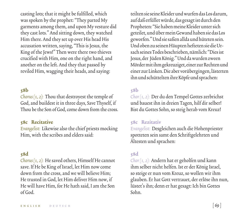casting lots; that it might be fulfilled, which was spoken by the prophet: "They parted My garments among them, and upon My vesture did they cast lots." And sitting down, they watched Him there. And they set up over His head His accusation written, saying, "This is Jesus, the King of the Jews!" Then were there two thieves crucified with Him, one on the right hand, and another on the left. And they that passed by reviled Him, wagging their heads, and saying:

#### 58b

Chorus (1, 2): Thou that destroyest the temple of God, and buildest it in three days, Save Thyself, if Thou be the Son of God, come down from the cross.

#### 58c Recitative

Evangelist: Likewise also the chief priests mocking Him, with the scribes and elders said:

# 58d

Chorus (1, 2): He saved others, Himself He cannot save. If He be King of Israel, let Him now come down from the cross, and we will believe Him; He trusted in God, let Him deliver Him now, if He will have Him, for He hath said, I am the Son of God.

teilten sie seine Kleider und wurfen das Los darum, auf daß erfüllet würde, das gesagt ist durch den Propheten: "Sie haben meine Kleider unter sich geteilet, und über mein Gewand haben sie das Los geworfen." Und sie saßen allda und hüteten sein. Und oben zu seinen Häupten hefteten sie die Ursach seines Todes beschrieben, nämlich: "Dies ist Jesus, der Jüden König." Und da wurden zween Mörder mit ihm gekreuziget, einer zur Rechten und einer zur Linken. Die aber vorübergingen, lästerten ihn und schüttelten ihre Köpfe und sprachen:

# 58b

Chor (1, 2): Der du den Tempel Gottes zerbrichst und bauest ihn in dreien Tagen, hilf dir selber! Bist du Gottes Sohn, so steig herab vom Kreuz!

#### 58c Rezitativ

Evangelist: Desgleichen auch die Hohenpriester spotteten sein samt den Schriftgelehrten und Ältesten und sprachen:

# 58d

Chor (1, 2): Andern hat er geholfen und kann ihm selber nicht helfen. Ist er der König Israel, so steige er nun vom Kreuz, so wollen wir ihm glauben. Er hat Gott vertrauet, der erlöse ihn nun, lüstet's ihn; denn er hat gesagt: Ich bin Gottes Sohn.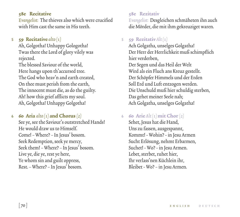#### 58e Recitative

Evangelist: The thieves also which were crucified with Him cast the same in His teeth.

# 5 59 Recitative alto  $(1)$

Ah, Golgotha! Unhappy Gologotha! Twas there the Lord of glory vilely was rejected.

The blessed Saviour of the world, Here hangs upon th'accursed tree. The God who heav'n and earth created, On thee must perish from the earth, The innocent must die, as do the guilty. Ah! how this grief afflicts my soul. Ah, Golgotha! Unhappy Golgotha!

6 60 Aria alto  $(1)$  and Chorus  $(2)$ See ye, see the Saviour's outstretched Hands! He would draw us to Himself. Come! – Where? – In Jesus' bosom. Seek Redemption, seek ye mercy, Seek them! – Where? – In Jesus' bosom. Live ye, die ye, rest ye here, Ye whom sin and guilt oppress, Rest. – Where? – In Jesus' bosom.

# 58e Rezitativ

Evangelist: Desgleichen schmäheten ihn auch die Mörder, die mit ihm gekreuziget waren.

# 5 59 Rezitativ Alt $(1)$

Ach Golgatha, unselges Golgatha! Der Herr der Herrlichkeit muß schimpflich hier verderben, Der Segen und das Heil der Welt Wird als ein Fluch ans Kreuz gestellt. Der Schöpfer Himmels und der Erden Soll Erd und Luft entzogen werden. Die Unschuld muß hier schuldig sterben, Das gehet meiner Seele nah; Ach Golgatha, unselges Golgatha!

# 6 60 Arie Alt $(1)$  mit Chor $(2)$

Sehet, Jesus hat die Hand, Uns zu fassen, ausgespannt, Kommt! - Wohin? - in Jesu Armen Sucht Erlösung, nehmt Erbarmen, Suchet! - Wo? - in Jesu Armen. Lebet, sterbet, ruhet hier, Ihr verlass'nen Küchlein ihr, Bleibet - Wo? – in Jesu Armen.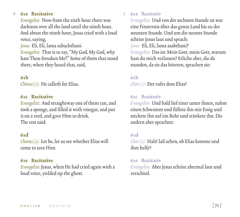# <sup>7</sup> 61a Recitative

Evangelist: Now from the sixth hour there was darkness over all the land until the ninth hour. And about the ninth hour. Jesus cried with a loud voice, saying,

Jesus: Eli, Eli, lama sabachthani.

Evangelist: That is to say, "My God, My God, why hast Thou forsaken Me?" Some of them that stood there, when they heard that, said,

# $61<sub>b</sub>$

Chorus (1): He calleth for Elias.

#### 61c Recitative

Evangelist: And straightway one of them ran, and took a sponge, and filled it with vinegar, and put it on a reed, and gave Him to drink. The rest said:

# 61d

Chorus (2): Let be, let us see whether Elias will come to save Him.

#### 61e Recitative

Evangelist: Jesus, when He had cried again with a loud voice, yielded up the ghost.

#### <sup>7</sup> 61a Rezitativ

Evangelist: Und von der sechsten Stunde an war eine Finsternis über das ganze Land bis zu der neunten Stunde. Und um die neunte Stunde schriee Jesus laut und sprach: Jesus: Eli, Eli, lama asabthani? Evangelist: Das ist: Mein Gott, mein Gott, warum hast du mich verlassen? Etliche aber, die da stunden, da sie das höreten, sprachen sie:

#### 61b

Chor (1): Der rufet dem Elias!

#### 61c Rezitativ

Evangelist: Und bald lief einer unter ihnen, nahm einen Schwamm und füllete ihn mit Essig und steckete ihn auf ein Rohr und tränkete ihn. Die andern aber sprachen:

# 61d

Chor (2): Halt! laß sehen, ob Elias komme und ihm helfe?

#### 61e Rezitativ

Evangelist: Aber Jesus schriee abermal laut und verschied.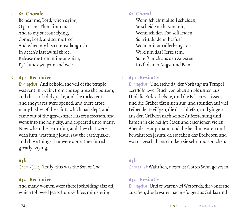# <sup>8</sup> 62 Chorale

Be near me, Lord, when dying, O part not Thou from me! And to my succour flying, Come, Lord, and set me free! And when my heart must languish In death's last awful throe, Release me from mine anguish, By Thine own pain and woe.

# <sup>9</sup> 63a Recitative

Evangelist: And behold, the veil of the temple was rent in twain, from the top unto the bottom, and the earth did quake, and the rocks rent. And the graves were opened, and there arose many bodies of the saints which had slept, and came out of the graves after His resurrection, and went into the holy city, and appeared unto many. Now when the centurion, and they that were with him, watching Jesus, saw the earthquake, and those things that were done, they feared greatly, saying,

# $6<sub>3</sub>b$

Chorus (1, 2): Truly, this was the Son of God.

# 63c Recitative

And many women were there (beholding afar off) which followed Jesus from Galilee, ministering

# 8 62 Choral

Wenn ich einmal soll scheiden, So scheide nicht von mir, Wenn ich den Tod soll leiden, So tritt du denn herfür! Wenn mir am allerbängsten Wird um das Herze sein So reiß mich aus den Ängsten Kraft deiner Angst und Pein!

# <sup>9</sup> 63a Rezitativ

Evangelist: Und siehe da, der Vorhang im Tempel zerriß in zwei Stück von oben an bis unten aus. Und die Erde erbebete, und die Felsen zerrissen, und die Gräber täten sich auf, und stunden auf viel Leiber der Heiligen, die da schliefen, und gingen aus den Gräbern nach seiner Auferstehung und kamen in die heilige Stadt und erschienen vielen. Aber der Hauptmann und die bei ihm waren und bewahreten Jesum, da sie sahen das Erdbeben und was da geschah, erschraken sie sehr und sprachen:

# $6<sub>3</sub>b$

Chor (1, 2): Wahrlich, dieser ist Gottes Sohn gewesen.

# 63c Rezitativ

Evangelist: Und es waren viel Weiber da, die von ferne zusahen, die da waren nachgefolget aus Galiläa und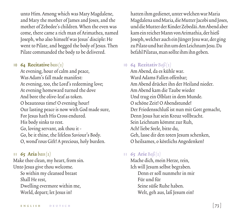unto Him. Among which was Mary Magdalene, and Mary the mother of James and Joses, and the mother of Zebedee's children. When the even was come, there came a rich man of Arimathea, named Joseph, who also himself was Jesus' disciple: He went to Pilate, and begged the body of Jesus. Then Pilate commanded the body to be delivered.

#### 10  $64$  Recitative bass (1)

At evening, hour of calm and peace, Was Adam's fall made manifest: At evening, too, the Lord's redeeming love; At evening homeward turned the dove And bore the olive-leaf as token. O beauteous time! O evening hour! Our lasting peace is now with God made sure, For Jesus hath His Cross endured. His body sinks to rest. Go, loving servant, ask thou it - Go, be it thine, the lifeless Saviour's Body. O, wond'rous Gift! A precious, holy burden.

#### 11 65 Aria bass  $(1)$

Make thee clean, my heart, from sin. Unto Jesus give thou welcome. So within my cleansed breast Shall He rest,

Dwelling evermore within me, World, depart; let Jesus in!

hatten ihm gedienet, unter welchen war Maria Magdalena und Maria, die Mutter Jacobi und Joses, und die Mutter der Kinder Zebedäi. Am Abend aber kam ein reicher Mann von Arimathia, der hieß Joseph, welcher auch ein Jünger Jesu war, der ging zu Pilato und bat ihn um den Leichnam Jesu. Da befahl Pilatus, man sollte ihm ihn geben.

10  $64$  Rezitativ Ba $\beta(1)$ 

Am Abend, da es kühle war. Ward Adams Fallen offenbar; Am Abend drücket ihn der Heiland nieder. Am Abend kam die Taube wieder Und trug ein Ölblatt in dem Munde. O schöne Zeit! O Abendstunde! Der Friedensschluß ist nun mit Gott gemacht, Denn Jesus hat sein Kreuz vollbracht. Sein Leichnam kömmt zur Ruh, Ach! liebe Seele, bitte du, Geh, lasse dir den toten Jesum schenken, O heilsames, o köstlichs Angedenken!

#### 11 65 Arie Ba $\beta$ (1)

Mache dich, mein Herze, rein, Ich will Jesum selbst begraben. Denn er soll nunmehr in mir Für und für Seine süße Ruhe haben. Welt, geh aus, laß Jesum ein!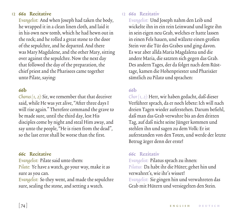#### <sup>12</sup> 66a Recitative

Evangelist: And when Joseph had taken the body, he wrapped it in a clean linen cloth, and laid it in his own new tomb, which he had hewn out in the rock; and he rolled a great stone to the door of the sepulchre, and he departed. And there was Mary Magdalene, and the other Mary, sitting over against the sepulchre. Now the next day that followed the day of the preparation, the chief priest and the Pharisees came together unto Pilate, saying:

#### 66b

Chorus  $(1, 2)$ : Sir, we remember that that deceiver said, while He was yet alive, "After three days I will rise again." Therefore command the grave to be made sure, until the third day, lest His disciples come by night and steal Him away, and say unto the people, "He is risen from the dead", so the last error shall be worse than the first.

#### 66c Recitative

Evangelist: Pilate said unto them: Pilate: Ye have a watch, go your way, make it as sure as you can.

Evangelist: So they went, and made the sepulchre sure, sealing the stone, and setting a watch.

#### <sup>12</sup> 66a Rezitativ

Evangelist: Und Joseph nahm den Leib und wickelte ihn in ein rein Leinwand und legte ihn in sein eigen neu Grab, welches er hatte lassen in einen Fels hauen, und wälzete einen großen Stein vor die Tür des Grabes und ging davon. Es war aber allda Maria Magdalena und die andere Maria, die satzten sich gegen das Grab. Des andern Tages, der da folget nach dem Rüsttage, kamen die Hohenpriester und Pharisäer sämtlich zu Pilato und sprachen:

### 66b

Chor (1, 2): Herr, wir haben gedacht, daß dieser Verführer sprach, da er noch lebete: Ich will nach dreien Tagen wieder auferstehen. Darum befiehl, daß man das Grab verwahre bis an den dritten Tag, auf daß nicht seine Jünger kommen und stehlen ihn und sagen zu dem Volk: Er ist auferstanden von den Toten, und werde der letzte Betrug ärger denn der erste!

#### 66c Rezitativ

Evangelist: Pilatus sprach zu ihnen: Pilatus: Da habt ihr die Hüter; gehet hin und verwahret's, wie ihr's wisset! Evangelist: Sie gingen hin und verwahreten das Grab mit Hütern und versiegelten den Stein.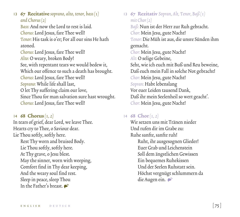## 13 67 Recitative soprano, alto, tenor, bass  $(1)$

and Chorus (2)

Bass: And now the Lord to rest is laid. Chorus: Lord Jesus, fare Thee well! Tenor: His task is o'er; For all our sins He hath atoned.

Chorus: Lord Jesus, fare Thee well! Alto: O weary, broken Body! See, with repentant tears we would bedew it, Which our offence to such a death has brought. Chorus: Lord Jesus, fare Thee well! Soprano: While life shall last, O let Thy suffering claim our love, Since Thou for man salvation sure hast wrought. Chorus: Lord Jesus, fare Thee well!

### <sup>14</sup> 68 Chorus(1, 2)

In tears of grief, dear Lord, we leave Thee. Hearts cry to Thee, o Saviour dear. Lie Thou softly, softly here.

Rest Thy worn and bruised Body. Lie Thou softly, softly here. At Thy grave, o Jesu blest. May the sinner, worn with weeping, Comfort find in Thy dear keeping, And the weary soul find rest. Sleep in peace, sleep Thou In the Father's breast.

#### 13 67 Rezitativ Sopran, Alt. Tenor, Ba $\beta$ (1) mit Chor (2)

Baß: Nun ist der Herr zur Ruh gebracht. Chor: Mein Jesu, gute Nacht! Tenor: Die Müh ist aus, die unsre Sünden ihm gemacht. Chor: Mein Jesu, gute Nacht! Alt: O selige Gebeine, Seht, wie ich euch mit Buß und Reu beweine, Daß euch mein Fall in solche Not gebracht! Chor: Mein Jesu, gute Nacht! Sopran: Habt lebenslang Vor euer Leiden tausend Dank, Daß ihr mein Seelenheil so wert geacht'. Chor: Mein Jesu, gute Nacht!

### 14 **68 Chor** $(1, 2)$

Wir setzen uns mit Tränen nieder Und rufen dir im Grabe zu: Ruhe sanfte, sanfte ruh! Ruht, ihr ausgesognen Glieder! Euer Grab und Leichenstein Soll dem ängstlichen Gewissen Ein bequemes Ruhekissen Und der Seelen Ruhstatt sein. Höchst vergnügt schlummern da die Augen ein.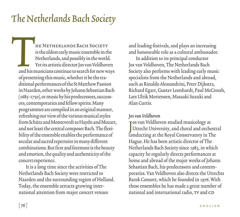# The Netherlands Bach Society

HE NETHERLANDS BACH SOCIETY<br>is the oldest early music ensemble in t<br>Netherlands, and possibly in the worl-<br>Yet its artistic director Jos van Veldhov<br>and his musicians continue to search for new w<br>of presenting this music, is the oldest early music ensemble in the Netherlands, and possibly in the world. Yet its artistic director Jos van Veldhoven and his musicians continue to search for new ways of presenting this music, whether it be the traditional performances of the St Matthew Passion in Naarden, other works by Johann Sebastian Bach (1685-1750), or music by his predecessors, successors, contemporaries and fellow spirits. Many programmes are compiled in an original manner, refreshing our view of the various musical styles from Schütz and Monteverdi to Haydn and Mozart, and not least the central composer Bach. The flexibility of the ensemble enables the performance of secular and sacred repertoire in many different combinations. But first and foremost is the beauty and emotion, the quality and authenticity of the concert experience.

It is a long time since the activities of The Netherlands Bach Society were restricted to Naarden and the surrounding region of Holland. Today, the ensemble attracts growing international attention from major concert venues

and leading festivals, and plays an increasing and honourable role as a cultural ambassador.

In addition to its principal conductor Jos van Veldhoven, The Netherlands Bach Society also performs with leading early music specialists from the Netherlands and abroad, such as Rinaldo Alessandrini, Peter Dijkstra, Richard Egarr, Gustav Leonhardt, Paul McCreesh, Lars Ulrik Mortensen, Masaaki Suzuki and Alan Curtis.

#### Jos van Veldhoven

Jos van Veldhoven studied musicology at<br>JUtrecht University, and choral and orch Utrecht University, and choral and orchestral conducting at the Royal Conservatory in The Hague. He has been artistic director of The Netherlands Bach Society since 1983, in which capacity he regularly directs performances at home and abroad of the major works of Johann Sebastian Bach, his predecessors and contemporaries. Van Veldhoven also directs the Utrechts Barok Consort, which he founded in 1976. With these ensembles he has made a great number of national and international radio, TV and CD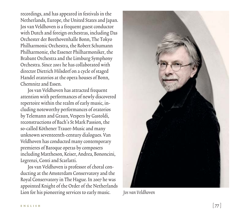recordings, and has appeared in festivals in the Netherlands, Europe, the United States and Japan. Jos van Veldhoven is a frequent guest conductor with Dutch and foreign orchestras, including Das Orchester der Beethovenhalle Bonn, The Tokyo Philharmonic Orchestra, the Robert Schumann Philharmonie, the Essener Philharmoniker, the Brabant Orchestra and the Limburg Symphony Orchestra. Since 2001 he has collaborated with director Dietrich Hilsdorf on a cycle of staged Handel oratorios at the opera houses of Bonn, Chemnitz and Essen.

Jos van Veldhoven has attracted frequent attention with performances of newly discovered repertoire within the realm of early music, including noteworthy performances of oratorios by Telemann and Graun, Vespers by Gastoldi, reconstructions of Bach's St Mark Passion, the so-called Köthener Trauer-Music and many unknown seventeenth-century dialogues. Van Veldhoven has conducted many contemporary premieres of Baroque operas by composers including Mattheson, Keiser, Andrea, Bononcini, Legrenzi, Conti and Scarlatti.

Jos van Veldhoven is professor of choral conducting at the Amsterdam Conservatory and the Royal Conservatory in The Hague. In 2007 he was appointed Knight of the Order of the Netherlands Lion for his pioneering services to early music.



Jos van Veldhoven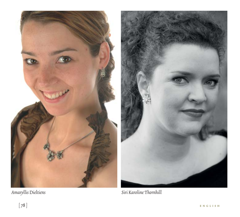

Amaryllis Dieltiens Siri Karoline Thornhill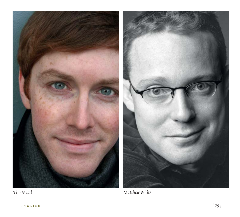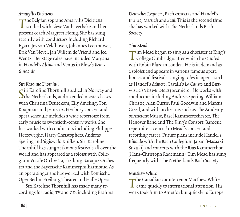Amaryllis Dieltiens

The Belgian soprano Amaryllis Dieltiens studied with Lieve Vanhaverbeke and her present coach Margreet Honig. She has sung recently with conductors including Richard Egarr, Jos van Veldhoven, Johannes Leertouwer, Erik Van Nevel, Jan Willem de Vriend and Jed Wentz. Her stage roles have included Morgana in Handel's Alcinaand Venus in Blow's Venus & Adonis.

#### Siri Karoline Thornhill

Siri Karoline Thornhill studied in Norway and<br>Sthe Netherlands, and attended masterclasses<br>with Christine Dovedsen, Elle Anedine Tar  $\sum$ the Netherlands, and attended masterclasses with Christina Deutekom, Elly Ameling, Ton Koopman and Jean Cox. Her busy concert and opera schedule includes a wide repertoire from early music to twentieth-century works. She has worked with conductors including Philippe Herreweghe, Harry Christophers, Andreas Spering and Sigiswald Kuijken. Siri Karoline Thornhill has sung at famous festivals all over the world and has appeared as a soloist with Collegium Vocale Orchestra, Freiburg Baroque Orchestra and the Bayerische Kammerphilharmonie. As an opera singer she has worked with Komische Oper Berlin, Freiburg Theater and Halle Opera.

Siri Karoline Thornhill has made many recordings for radio, TV and CD, including Brahms'

Deutsches Requiem, Bach cantatas and Handel's Imeneo, Messiah and Saul. This is the second time she has worked with The Netherlands Bach Society.

Tim Mead<br>Tim Mead began to sing as a chorister at King's Tim Mead began to sing as a chorister at King's College Cambridge, after which he studied with Robin Blaze in Londen. He is in demand as a soloist and appears in various famous opera houses and festivals, singing roles in operas such as Handel's Admeto, Cavalli's La Calisto and Birtwistle's The Minotaur (première). He works with conductors including Andreas Spering, William Christie, Alan Curtis, Paul Goodwin and Marcus Creed, and with orchestras such as The Academy of Ancient Music, Basel Kammerorchester, The Hanover Band and The King's Consort. Baroque repertoire is central to Mead's concert and recording career. Future plans include Handel's Rinaldo with the Bach Collegium Japan (Masaaki Suzuki) and concerts with the Rias Kammerchor (Hans-Christoph Rademann). Tim Mead has sung frequently with The Netherlands Bach Society.

Matthew White<br>The Canadian countertenor Matthew White The Canadian countertenor Matthew White<br>came quickly to international attention. His work took him to America but quickly to Europe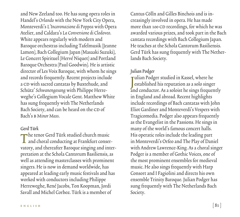and New Zeeland too. He has sung opera roles in Handel's Orlando with the New York City Opera, Monteverdi's L'Incoronazione di Poppea with Opera Atelier, and Caldara's La Conversione di Clodoveo. White appears regularly with modern and Baroque orchestras including Tafelmusik (Jeanne Lamon), Bach Collegium Japan (Masaaki Suzuki), Le Concert Spirituel (Hervé Niquet) and Portland Baroque Orchestra (Paul Goodwin). He is artistic director of Les Voix Baroque, with whom he sings and records frequently. Recent projects include a CD with sacred cantatas by Buxtehude, and Schütz' Schwanengesang with Philippe Herreweghe's Collegium Vocale Gent. Matthew White has sung frequently with The Netherlands Bach Society, and can be heard on the CD of Bach's B Minor Mass

Gerd Türk<br>Ende tenor Gerd Türk studied church music The tenor Gerd Türk studied church music<br>and choral conducting at Frankfurt conservatory, and thereafter Baroque singing and interpretation at the Schola Cantorum Basiliensis, as well as attending masterclasses with prominent singers. He is now in demand worldwide, has appeared at leading early music festivals and has worked with conductors including Philippe Herreweghe, René Jacobs, Ton Koopman, Jordi Savall and Michel Corboz. Türk is a member of

Cantus Cölln and Gilles Binchois and is increasingly involved in opera. He has made more than 100 CD recordings, for which he was awarded various prizes, and took part in the Bach cantata recordings with Bach Collegium Japan. He teaches at the Schola Cantorum Basiliensis. Gerd Türk has sung frequently with The Netherlands Bach Society.

## Julian Podger

Julian Podger studied in Kassel, where he<br>established his reputation as a solo sing established his reputation as a solo singer and conductor. As a soloist he sings frequently in England and abroad. Recent highlights include recordings of Bach cantatas with John Eliot Gardiner and Monteverdi's Vespers with Tragicomedia. Podger also appears frequently as the Evangelist in the Passions. He sings in many of the world's famous concert halls. His operatic roles include the leading part in Monteverdi's Orfeo and The Play of Daniel with Andrew Lawrence-King. As a choral singer Podger is a member of Gothic Voices, one of the most prominent ensembles for medieval music. He also sings frequently with Harp Consort and I Fagiolini and directs his own ensemble Trinity Baroque. Julian Podger has sung frequently with The Netherlands Bach Society.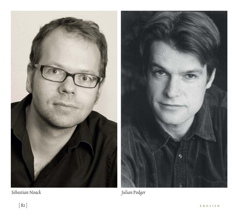

Sebastian Noack Julian Podger

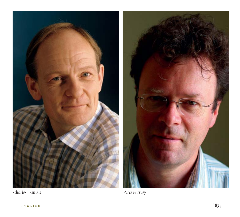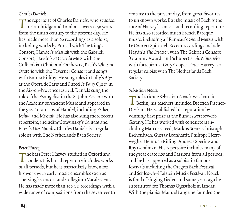### Charles Daniels

The repertoire of Charles Daniels, who studied **L** in Cambridge and London, covers 1150 years from the ninth century to the present day. He has made more than 60 recordings as a soloist, including works by Purcell with The King's Consort, Handel's Messiah with the Gabrieli Consort, Haydn's St Caecilia Mass with the Gulbenkian Choir and Orchestra, Bach's Whitsun Oratorio with the Taverner Consort and songs with Emma Kirkby. He sung roles in Lully's Atys at the Opera de Paris and Purcell's Fairy Queen in the Aix-en-Provence festival. Daniels sung the role of the Evangelist in the St John Passion with the Academy of Ancient Music and appeared in the great oratorios of Handel, including Esther, Joshua and Messiah. He has also sung more recent repertoire, including Stravinsky's Cantata and Finzi's Dies Natalis. Charles Daniels is a regular soloist with The Netherlands Bach Society.

Peter Harvey<br>The bass Peter Harvey studied in Oxford and The bass Peter Harvey studied in Oxford and Londen. His broad repertoire includes works of all periods, but he is particularly known for his work with early music ensembles such as The King's Consort and Collegium Vocale Gent. He has made more than 100 CD recordings with a wide range of compositions from the seventeenth century to the present day, from great favorites to unknown works. But the music of Bach is the core of Harvey's concert and recording repertoire. He has also recorded much French Baroque music, including all Rameau's Grand Motets with Le Concert Spirituel. Recent recordings include Haydn's The Creation with The Gabrieli Consort (Grammy Award) and Schubert's Die Winterreise with fortepianist Gary Cooper. Peter Harvey is a regular soloist with The Netherlands Bach Society.

Sebastian Noack<br>The baritone Sebastian Noack was born in The baritone Sebastian Noack was born in Berlin; his teachers included Dietrich Fischer-Dieskau. He established his reputation by winning first prize at the Bundeswettbewerb Gesang. He has worked with conductors including Marcus Creed, Markus Stenz, Christoph Eschenbach, Gustav Leonhardt, Philippe Herreweghe, Helmuth Rilling, Andreas Spering and Roy Goodman. His repertoire includes many of the great oratorios and Passions from all periods, and he has appeared as a soloist in famous festivals including the Oregon Bach Festival and Schleswig-Holstein Musik Festival. Noack is fond of singing Lieder, and some years ago he substituted for Thomas Quasthoff in Lindau. With the pianist Manuel Lange he founded the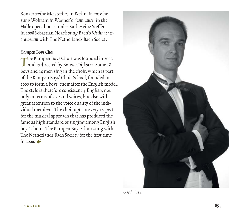Konzertreihe Meisterlies in Berlin. In 2010 he sung Wolfram in Wagner's Tannhäuser in the Halle opera house under Karl-Heinz Steffens. In 2008 Sebastian Noack sung Bach's Weihnachtsoratorium with The Netherlands Bach Society.

Kampen Boys Choir<br>The Kampen Boys Choir was founded in 2002 The Kampen Boys Choir was founded in 2002 and is directed by Bouwe Dijkstra. Some 18 boys and 14 men sing in the choir, which is part of the Kampen Boys' Choir School, founded in 2000 to form a boys' choir after the English model. The style is therefore consistently English, not only in terms of size and voices, but also with great attention to the voice quality of the individual members. The choir opts in every respect for the musical approach that has produced the famous high standard of singing among English boys' choirs. The Kampen Boys Choir sung with The Netherlands Bach Society for the first time in 2006.  $\bullet$ 



Gerd Türk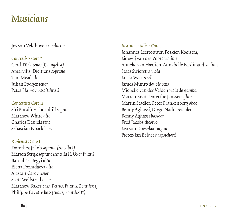# Musicians

Jos van Veldhoven conductor

### Concertists Coro i Gerd Türk tenor (Evangelist) Amaryllis Dieltiens soprano Tim Mead alto Julian Podger tenor

Peter Harvey bass (Christ)

#### Concertists Coro ii

Siri Karoline Thornhill soprano Matthew White alto Charles Daniels tenor Sebastian Noack bass

#### Ripienists Coro i

Dorothea Jakob soprano (Ancilla I) Marjon Strijk soprano (Ancilla II, Uxor Pilati) Barnabás Hegyi alto Elena Pozhidaeva alto Alastair Carey tenor Scott Wellstead tenor Matthew Baker bass (Petrus, Pilatus, Pontifex I) Philippe Favette bass (Judas, Pontifex II)

#### Instrumentalists Coro i

Johannes Leertouwer, Foskien Kooistra, Lidewij van der Voort violin 1 Anneke van Haaften, Annabelle Ferdinand violin 2 Staas Swierstra viola Lucia Swarts cello James Munro double bass Mieneke van der Velden viola da gamba Marten Root, Doretthe Janssens flute Martin Stadler, Peter Frankenberg oboe Benny Aghassi, Diego Nadra recorder Benny Aghassibassoon Fred Jacobs theorbo Leo van Doeselaar organ Pieter-Jan Belder harpsichord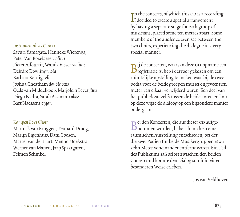#### Instrumentalists Coro ii

Sayuri Yamagata, Hanneke Wierenga, Peter Van Boxelaere violin 1 Pieter Affourtit, Wanda Visser violin 2 Deirdre Dowling viola Barbara Kernig cello Joshua Cheatham double bass Oeds van Middelkoop, Marjolein Lever flute Diego Nadra, Sarah Assmann oboe Bart Naessens organ

#### Kampen Boys Choir

Marnick van Bruggen, Teunard Droog, Marijn Eigenhuis, Dani Goosen, Marcel van der Hart, Menno Hoekstra, Werner van Manen, Jaap Spaargaren, Felmen Schinkel

In the concerts, of which this CD is a record<br>Indecided to create a spatial arrangement<br>lab kning a support space for each space  $\tau$ n the concerts, of which this  $CD$  is a recording. by having a separate stage for each group of musicians, placed some ten metres apart. Some members of the audience even sat between the two choirs, experiencing the dialogue in a very special manner.

ij de concerten, waarvan deze CD-opname een  $\mathbf D$  registratie is, heb ik ervoor gekozen om een ruimtelijke opstelling te maken waarbij de twee podia voor de beide groepen musici ongeveer tien meter van elkaar verwijderd waren. Een deel van het publiek zat zelfs tussen de beide koren en kon op deze wijze de dialoog op een bijzondere manier ondergaan.

ei den Konzerten, die auf dieser CD aufgenommen wurden, habe ich mich zu einer räumlichen Aufstellung entschieden, bei der die zwei Podien für beide Musikergruppen etwa zehn Meter voneinander entfernt waren. Ein Teil des Publikums saß selbst zwischen den beiden Chören und konnte den Dialog somit in einer besonderen Weise erleben.

Jos van Veldhoven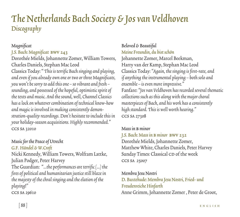# The Netherlands Bach Society & Jos van Veldhoven **Discography**

#### Magnificat

#### J.S. Bach: Magnificat bwv 243

Dorothée Mields, Johannette Zomer, William Towers, Charles Daniels, Stephan Mac Leod

Classics Today: " This is terrific Bach singing and playing, and even if you already own one or two or three Magnificats, you won't be sorry to add this one – so vibrant and fresh – sounding, and possessed of the hopeful, optimistic spirit of the texts and music. And the sound, well, Channel Classics has a lock on whatever combination of technical know-how and magic is involved in making consistently demonstration-quality recordings. Don't hesitate to include this in your holiday-season acquisitions. Highly recommended." ccs sa 32010

#### Music for the Peace of Utrecht G.F. Händel & W.Croft

Nicki Kennedy, William Towers, Wolfram Lattke, Julian Podger, Peter Harvey

The Guardian: "...the performances are terrific (...) the fires of political and humanitarian justice still blaze in the majesty of the chral singing and the elation of the playing!"

ccs sa 29610

#### Beloved & Beautiful Meine Freundin, du bist schön

Johannette Zomer, Marcel Beekman, Harry van der Kamp, Stephan Mac Leod Classics Today: "Again, the singing is first-rate, and if anything the instrumental playing — both solo and ensemble — is even more impressive." Fanfare: "Jos van Veldhoven has recorded several thematic collections such as this along with the major choral masterpieces of Bach, and his work has a consistently high standard. This is well worth hearing." ccs sa 27308

#### Mass in **B** minor

# J.S. Bach: Mass in B minor BWV 232

Dorothée Mields, Johannette Zomer, Matthew White, Charles Daniels, Peter Harvey Sunday Times: Classical CD of the week ccs sa 25007

#### Membra Jesu Nostri

D. Buxtehude: Membra Jesu Nostri, Fried- und Freudenreiche Hinfarth Anne Grimm, Johannette Zomer , Peter de Groot,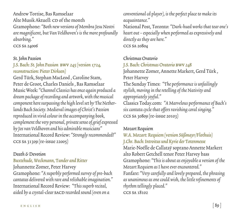Andrew Tortise, Bas Ramselaar Alte Musik Aktuell: CD of the month Gramophone: "Both new versions of Membra Jesu Nostri are magnificent, but Van Veldhoven's is the more profoundly absorbing."

ccs sa 24006

#### St. John Passion

### J.S. Bach: St. John Passion bwv 245 (version 1724, reconstruction: Pieter Dirksen)

Gerd Türk, Stephan MacLeod , Caroline Stam, Peter de Groot, Charles Daniels , Bas Ramselaar Music Week: "Channel Classics has once again produced a dream package of recording and artwork, with the musical component here surpassing the high level set by The Netherlands Bach Society. Medieval images of Christ's Passion reproduced in vivid colour in the accompanying book, complement the very personal, private sense of grief expressed by Jos van Veldhoven and his admirable musicians" International Record Review: "Strongly recommended!" ccs sa 31309 (re-issue 22005)

#### Death & Devotion Buxtehude, Weckmann, Tunder and Ritter

Johannette Zomer, Peter Harvey

Gramophone: "A superbly performed survey of pre-bach cantatas delivered with rare and relishable imagination." International Record Review: "This superb recital, aided by a crystal-clear SACD recorded sound (even on a

conventional cd player), is the perfect place to make its acquaintance."

National Post, Toronto: "Dark-hued works that tear one's heart out – especially when performed as expressively and directly as they are here." ccs sa 20804

#### Christmas Oratorio

J.S. Bach: Christmas Oratorio bwv 248 Johannette Zomer, Annette Markert, Gerd Türk , Peter Harvey The Sunday Times: "The performance is unfailingly stylish, moving in the retelling of the Nativity and appropriately joyful." Classics Today.com: "A Marvelous performance of Bach's six cantata cycle that offers ravishing coral singing." ccs sa 30809 (re-issue 20103)

#### Mozart Requiem

W.A. Mozart: Requiem (version Süßmayr/Flothuis) J.Chr. Bach: Introitus und Kyrie der Totenmesse Marie-Noëlle de Callataÿ soprano Annette Markert alto Robert Getchell tenor Peter Harvey bass Gramophone: "This is about as enjoyable a version of the Mozart Requiem as I have ever encountered." Fanfare: "Very carefully and lovely prepared, the phrasing as unanimous as one could wish, the little refinements of rhythm tellingly placed." ccs sa 18102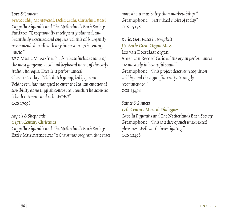#### Love & Lament

Frescobaldi, Monteverdi, Della Ciaia, Carissimi, Rossi Cappella Figuralis and The Netherlands Bach Society Fanfare: "Exceptionally intelligently planned, and beautifully executed and engineered, this cd is urgently recommended to all with any interest in 17th-century music."

bbc Music Magazine: "This release includes some of the most gorgeous vocal and keyboard music of the early Italian Baroque. Excellent performances!"

Classics Today: "This dutch group, led by Jos van Veldhoven, has managed to enter the Italian emotional sensibility as no English consort can touch. The acoustic is both intimate and rich. WOW!" ccs17098

#### Angels & Shepherds a 17th Century Christmas

Cappella Figuralis and The Netherlands Bach Society Early Music America: "a Christmas program that cares more about musicality than marketability." Gramophone: "best mixed choirs of today" ccs15198

### Kyrie, Gott Vater in Ewigkeit J.S. Bach: Great Organ Mass

Leo van Doeselaar organ American Record Guide: "the organ performances are masterly in beautiful sound" Gramophone: "This project deserves recognition well beyond the organ fraternity. Strongly recommended."

ccs 13498

### Saints & Sinners

## 17th Century Musical Dialogues

Capella Figuralis and The Netherlands Bach Society Gramophone: "This is a disc of such unexpexted pleasures. Well worth investigating" ccs12498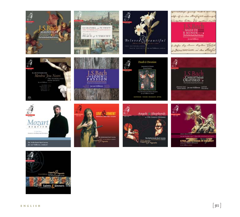

Saints & Sinners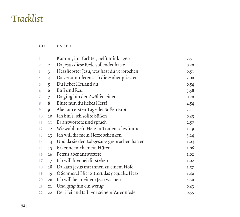# Tracklist

#### CD 1 PART 1

|                 | $\mathbf{1}$            | Kommt, ihr Töchter, helft mir klagen       | 7.51 |
|-----------------|-------------------------|--------------------------------------------|------|
| $\overline{2}$  | $\overline{2}$          | Da Jesus diese Rede vollendet hatte        | 0.40 |
| 3               | $\overline{\mathbf{3}}$ | Herzliebster Jesu, was hast du verbrochen  | 0.51 |
| $\overline{4}$  | $\overline{4}$          | Da versammleten sich die Hohenpriester     | 3.00 |
| 5               |                         | 5 Du lieber Heiland du                     | 0.54 |
| 6               |                         | 6 Buß und Reu                              | 3.58 |
| 7               | $7^{\circ}$             | Da ging hin der Zwölfen einer              | 0.40 |
| 8               | 8                       | Blute nur, du liebes Herz!                 | 4.54 |
| 9               | 9                       | Aber am ersten Tage der Süßen Brot         | 2.11 |
| $\overline{10}$ | 10                      | Ich bin's, ich sollte büßen                | 0.45 |
| П               | 11                      | Er antwortete und sprach                   | 2.57 |
| 12              | 12                      | Wiewohl mein Herz in Tränen schwimmt       | 1.19 |
| 3               | 13                      | Ich will dir mein Herze schenken           | 3.14 |
| 4               | 14                      | Und da sie den Lobgesang gesprochen hatten | 1.04 |
| 15              | 15                      | Erkenne mich, mein Hüter                   | 1.06 |
| 6               | 16                      | Petrus aber antwortete                     | 1.02 |
| 17              | 17                      | Ich will hier bei dir stehen               | 1.02 |
| 8               | 18                      | Da kam Jesus mit ihnen zu einem Hofe       | 1.57 |
| $ 9\rangle$     | 19                      | O Schmerz! Hier zittert das gequälte Herz  | 1.40 |
| 20              | 20                      | Ich will bei meinem Jesu wachen            | 4.50 |
| 21              | $2\sqrt{1}$             | Und ging hin ein wenig                     | 0.43 |
| 22              | 22                      | Der Heiland fällt vor seinem Vater nieder  | 0.55 |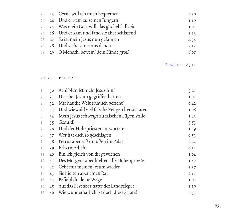|  | 23 23 Gerne will ich mich bequemen             | 4.20 |
|--|------------------------------------------------|------|
|  | 24 24 Und er kam zu seinen Jüngern             | 1.19 |
|  | 25 25 Was mein Gott will, das g'scheh' allzeit | 1.05 |
|  | 26 26 Und er kam und fand sie aber schlafend   | 2.23 |
|  | 27 27 So ist mein Jesus nun gefangen           | 4.34 |
|  | 28 28 Und siehe, einer aus denen               | 2.12 |
|  | 29 29 O Mensch, bewein' dein Sünde groß        | 6.07 |
|  |                                                |      |

Total time 69.51

#### CD 2 PART 2

|                | 30 | Ach! Nun ist mein Jesus hin!                 | 3.21 |
|----------------|----|----------------------------------------------|------|
| $\overline{2}$ | 31 | Die aber Jesum gegriffen hatten              | 1.01 |
| 3              | 32 | Mir hat die Welt trüglich gericht'           | 0.42 |
| 4              | 33 | Und wiewold viel falsche Zeugen herzutraten  | 1.08 |
| 5              | 34 | Mein Jesus schweigt zu falschen Lügen stille | 1.43 |
| 6              | 35 | Geduld!                                      | 3.53 |
|                | 36 | Und der Hohepriester antwortete              | 1.59 |
| 8              | 37 | Wer hat dich so geschlagen                   | 0.53 |
| 9              | 38 | Petrus aber saß draußen im Palast            | 2.22 |
| $ 0\rangle$    | 39 | Erbarme dich                                 | 6.11 |
| п              | 40 | Bin ich gleich von dir gewichen              | 1.04 |
| 12             | 41 | Des Morgens aber hielten alle Hohenpriester  | 1.47 |
| 3              | 42 | Gebt mir meinen Jesum wieder                 | 2.37 |
| 4              | 43 | Sie hielten aber einen Rat                   | 2.11 |
| 15             | 44 | Befiehl du deine Wege                        | 1.05 |
| 6              | 45 | Auf das Fest aber hatte der Landpfleger      | 2.19 |
| 17             | 46 | Wie wunderbarlich ist doch diese Strafe!     | 0.53 |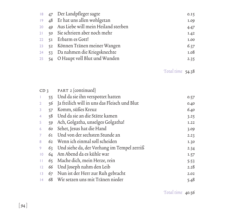|  | 18 47 Der Landpfleger sagte               | 0.15 |
|--|-------------------------------------------|------|
|  | 19 48 Er hat uns allen wohlgetan          | 1.09 |
|  | 20 49 Aus Liebe will mein Heiland sterben | 4.47 |
|  | 21 50 Sie schrieen aber noch mehr         | 1.42 |
|  | 22 51 Erbarm es Gott!                     | 1.00 |
|  | 23 52 Können Tränen meiner Wangen         | 6.37 |
|  | 24 53 Da nahmen die Kriegsknechte         | 1.08 |
|  | 25 54 O Haupt voll Blut und Wunden        | 2.35 |

Total time 54.38

| CD <sub>3</sub> |    | PART 2 (continued)                           |      |
|-----------------|----|----------------------------------------------|------|
|                 |    | 55 Und da sie ihn verspottet hatten          | 0.57 |
|                 | 56 | Ja freilich will in uns das Fleisch und Blut | 0.40 |
| 3               | 57 | Komm, süßes Kreuz                            | 6.40 |
| 4               | 58 | Und da sie an die Stätte kamen               | 3.25 |
| 5               | 59 | Ach, Golgatha, unselges Golgatha!            | 1.22 |
| 6               | 60 | Sehet, Jesus hat die Hand                    | 3.09 |
|                 | 61 | Und von der sechsten Stunde an               | 2.23 |
| 8               |    | 62 Wenn ich einmal soll scheiden             | 1.30 |
| 9               | 63 | Und siehe da, der Vorhang im Tempel zerriß   | 2.34 |
| $\overline{10}$ |    | 64 Am Abend da es kühle war                  | 1.57 |
| П               | 65 | Mache dich, mein Herze, rein                 | 5.53 |
| 12              | 66 | Und Joseph nahm den Leib                     | 2.28 |
| 3               | 67 | Nun ist der Herr zur Ruh gebracht            | 2.02 |
| 4               | 68 | Wir setzen uns mit Tränen nieder             | 5.48 |

Total time 40.56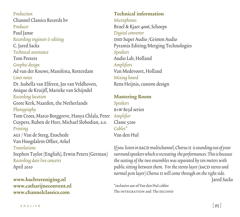Production Channel Classics Records bv Producer Paul Janse Recording engineer & editing C. Jared Sacks Technical assistance Tom Peeters Graphic design Ad van der Kouwe, Manifesta, Rotterdam Liner notes Dr. Isabella van Elferen, Jos van Veldhoven, Anique de Kruijff, Marieke van Schijndel Recording location Grote Kerk, Naarden, the Netherlands Photography Tom Croes, Marco Borggreve, Hanya Chlala, Peter Amplifier Cuypers, Ruben de Heer, Michael Slobodian, a.o. Printing agi / Van de Steeg, Enschede Van Hoogdalem Offset, Arkel Translations Stephen Taylor (English), Erwin Peters (German) Recording date live concerts April 2010

www.bachvereniging.nl www.catharijneconvent.nl www.channelclassics.com

### Technical information

**Microphones** Bruel & Kjaer 4006, Schoeps Digital converter DSD Super Audio /Grimm Audio Pyramix Editing/Merging Technologies

Speakers Audio Lab, Holland Amplifiers Van Medevoort, Holland Mixing board Rens Heijnis, custom design

## Mastering Room Speakers b+w 803d series Classe 5200 Cables\* Van den Hul

If you listen in SACD multichannel, Chorus II is sounding out of your surround speakers which is recreating the performances. This is because the seating of the two ensembles was separated by ten meters with public sitting between them. For the stereo layer (SACD stereo and normal pcm layer) Chorus ii will come through on the right side. Jared Sacks

\*exclusive use of Van den Hul cables The integration and The second